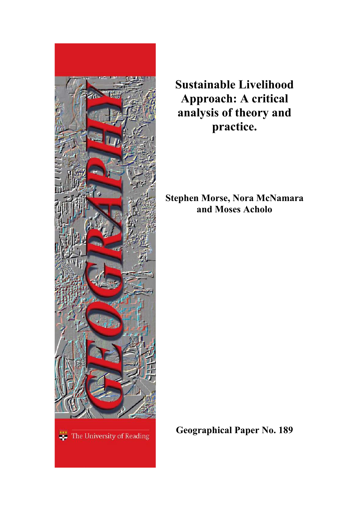

**Sustainable Livelihood Approach: A critical analysis of theory and practice.**

**Stephen Morse, Nora McNamara and Moses Acholo**

**Geographical Paper No. 189**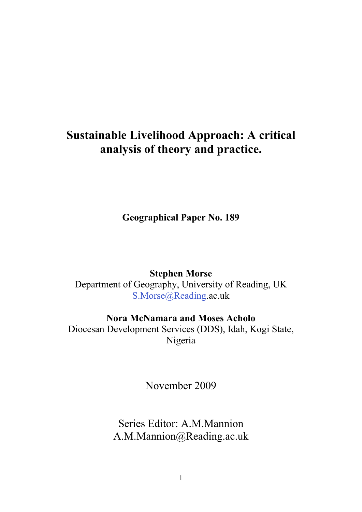# **Sustainable Livelihood Approach: A critical analysis of theory and practice.**

**Geographical Paper No. 189**

**Stephen Morse**

Department of Geography, University of Reading, UK [S.Morse@Reading.](mailto:S.Morse@Reading)ac.uk

**Nora McNamara and Moses Acholo**

Diocesan Development Services (DDS), Idah, Kogi State, Nigeria

November 2009

Series Editor: A.M.Mannion A.M.Mannion@Reading.ac.uk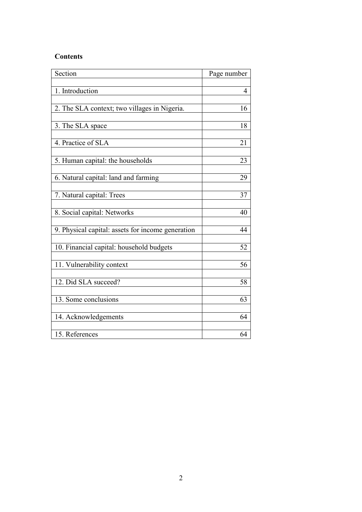# **Contents**

| Section                                           | Page number |
|---------------------------------------------------|-------------|
|                                                   |             |
| 1. Introduction                                   | 4           |
|                                                   | 16          |
| 2. The SLA context; two villages in Nigeria.      |             |
| 3. The SLA space                                  | 18          |
|                                                   |             |
| 4. Practice of SLA                                | 21          |
|                                                   |             |
| 5. Human capital: the households                  | 23          |
| 6. Natural capital: land and farming              | 29          |
|                                                   |             |
| 7. Natural capital: Trees                         | 37          |
|                                                   |             |
| 8. Social capital: Networks                       | 40          |
| 9. Physical capital: assets for income generation | 44          |
|                                                   |             |
| 10. Financial capital: household budgets          | 52          |
|                                                   |             |
| 11. Vulnerability context                         | 56          |
|                                                   |             |
| 12. Did SLA succeed?                              | 58          |
| 13. Some conclusions                              | 63          |
|                                                   |             |
| 14. Acknowledgements                              | 64          |
|                                                   |             |
| 15. References                                    | 64          |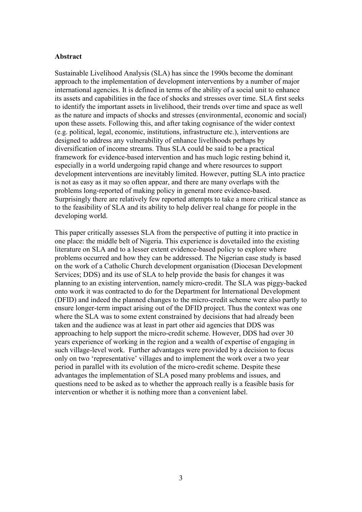#### **Abstract**

Sustainable Livelihood Analysis (SLA) has since the 1990s become the dominant approach to the implementation of development interventions by a number of major international agencies. It is defined in terms of the ability of a social unit to enhance its assets and capabilities in the face of shocks and stresses over time. SLA first seeks to identify the important assets in livelihood, their trends over time and space as well as the nature and impacts of shocks and stresses (environmental, economic and social) upon these assets. Following this, and after taking cognisance of the wider context (e.g. political, legal, economic, institutions, infrastructure etc.), interventions are designed to address any vulnerability of enhance livelihoods perhaps by diversification of income streams. Thus SLA could be said to be a practical framework for evidence-based intervention and has much logic resting behind it, especially in a world undergoing rapid change and where resources to support development interventions are inevitably limited. However, putting SLA into practice is not as easy as it may so often appear, and there are many overlaps with the problems long-reported of making policy in general more evidence-based. Surprisingly there are relatively few reported attempts to take a more critical stance as to the feasibility of SLA and its ability to help deliver real change for people in the developing world.

This paper critically assesses SLA from the perspective of putting it into practice in one place: the middle belt of Nigeria. This experience is dovetailed into the existing literature on SLA and to a lesser extent evidence-based policy to explore where problems occurred and how they can be addressed. The Nigerian case study is based on the work of a Catholic Church development organisation (Diocesan Development Services; DDS) and its use of SLA to help provide the basis for changes it was planning to an existing intervention, namely micro-credit. The SLA was piggy-backed onto work it was contracted to do for the Department for International Development (DFID) and indeed the planned changes to the micro-credit scheme were also partly to ensure longer-term impact arising out of the DFID project. Thus the context was one where the SLA was to some extent constrained by decisions that had already been taken and the audience was at least in part other aid agencies that DDS was approaching to help support the micro-credit scheme. However, DDS had over 30 years experience of working in the region and a wealth of expertise of engaging in such village-level work. Further advantages were provided by a decision to focus only on two "representative" villages and to implement the work over a two year period in parallel with its evolution of the micro-credit scheme. Despite these advantages the implementation of SLA posed many problems and issues, and questions need to be asked as to whether the approach really is a feasible basis for intervention or whether it is nothing more than a convenient label.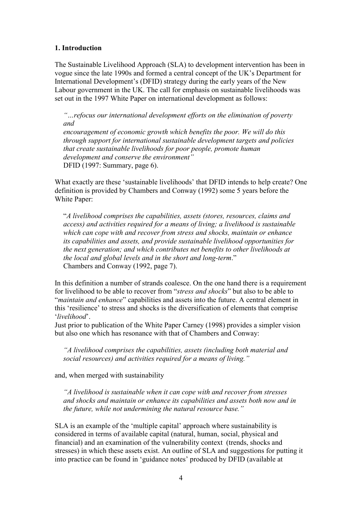## **1. Introduction**

The Sustainable Livelihood Approach (SLA) to development intervention has been in vogue since the late 1990s and formed a central concept of the UK"s Department for International Development's (DFID) strategy during the early years of the New Labour government in the UK. The call for emphasis on sustainable livelihoods was set out in the 1997 White Paper on international development as follows:

*"…refocus our international development efforts on the elimination of poverty and*

*encouragement of economic growth which benefits the poor. We will do this through support for international sustainable development targets and policies that create sustainable livelihoods for poor people, promote human development and conserve the environment"* DFID (1997: Summary, page 6).

What exactly are these "sustainable livelihoods" that DFID intends to help create? One definition is provided by Chambers and Conway (1992) some 5 years before the White Paper:

"*A livelihood comprises the capabilities, assets (stores, resources, claims and access) and activities required for a means of living; a livelihood is sustainable which can cope with and recover from stress and shocks, maintain or enhance its capabilities and assets, and provide sustainable livelihood opportunities for the next generation; and which contributes net benefits to other livelihoods at the local and global levels and in the short and long-term*." Chambers and Conway (1992, page 7).

In this definition a number of strands coalesce. On the one hand there is a requirement for livelihood to be able to recover from "*stress and shocks*" but also to be able to "*maintain and enhance*" capabilities and assets into the future. A central element in this "resilience" to stress and shocks is the diversification of elements that comprise "*livelihood*".

Just prior to publication of the White Paper Carney (1998) provides a simpler vision but also one which has resonance with that of Chambers and Conway:

*"A livelihood comprises the capabilities, assets (including both material and social resources) and activities required for a means of living."*

and, when merged with sustainability

*"A livelihood is sustainable when it can cope with and recover from stresses and shocks and maintain or enhance its capabilities and assets both now and in the future, while not undermining the natural resource base."*

SLA is an example of the 'multiple capital' approach where sustainability is considered in terms of available capital (natural, human, social, physical and financial) and an examination of the vulnerability context (trends, shocks and stresses) in which these assets exist. An outline of SLA and suggestions for putting it into practice can be found in 'guidance notes' produced by DFID (available at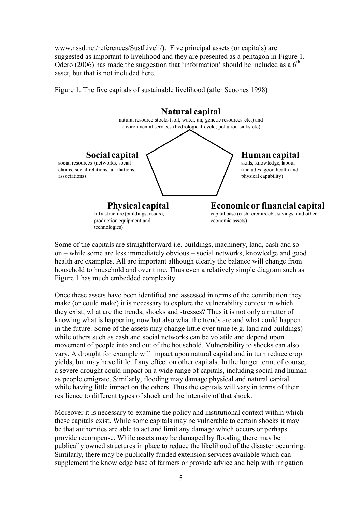[www.nssd.net/references/SustLiveli/\)](http://www.nssd.net/references/SustLiveli/). Five principal assets (or capitals) are suggested as important to livelihood and they are presented as a pentagon in Figure 1. Odero (2006) has made the suggestion that 'information' should be included as a  $6<sup>th</sup>$ asset, but that is not included here.

Figure 1. The five capitals of sustainable livelihood (after Scoones 1998)



Some of the capitals are straightforward i.e. buildings, machinery, land, cash and so on – while some are less immediately obvious – social networks, knowledge and good health are examples. All are important although clearly the balance will change from household to household and over time. Thus even a relatively simple diagram such as Figure 1 has much embedded complexity.

Once these assets have been identified and assessed in terms of the contribution they make (or could make) it is necessary to explore the vulnerability context in which they exist; what are the trends, shocks and stresses? Thus it is not only a matter of knowing what is happening now but also what the trends are and what could happen in the future. Some of the assets may change little over time (e.g. land and buildings) while others such as cash and social networks can be volatile and depend upon movement of people into and out of the household. Vulnerability to shocks can also vary. A drought for example will impact upon natural capital and in turn reduce crop yields, but may have little if any effect on other capitals. In the longer term, of course, a severe drought could impact on a wide range of capitals, including social and human as people emigrate. Similarly, flooding may damage physical and natural capital while having little impact on the others. Thus the capitals will vary in terms of their resilience to different types of shock and the intensity of that shock.

Moreover it is necessary to examine the policy and institutional context within which these capitals exist. While some capitals may be vulnerable to certain shocks it may be that authorities are able to act and limit any damage which occurs or perhaps provide recompense. While assets may be damaged by flooding there may be publically owned structures in place to reduce the likelihood of the disaster occurring. Similarly, there may be publically funded extension services available which can supplement the knowledge base of farmers or provide advice and help with irrigation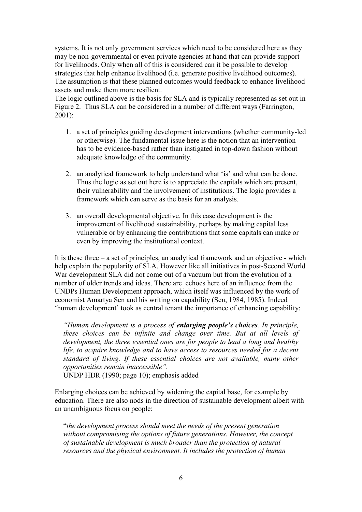systems. It is not only government services which need to be considered here as they may be non-governmental or even private agencies at hand that can provide support for livelihoods. Only when all of this is considered can it be possible to develop strategies that help enhance livelihood (i.e. generate positive livelihood outcomes). The assumption is that these planned outcomes would feedback to enhance livelihood assets and make them more resilient.

The logic outlined above is the basis for SLA and is typically represented as set out in Figure 2. Thus SLA can be considered in a number of different ways (Farrington, 2001):

- 1. a set of principles guiding development interventions (whether community-led or otherwise). The fundamental issue here is the notion that an intervention has to be evidence-based rather than instigated in top-down fashion without adequate knowledge of the community.
- 2. an analytical framework to help understand what "is" and what can be done. Thus the logic as set out here is to appreciate the capitals which are present, their vulnerability and the involvement of institutions. The logic provides a framework which can serve as the basis for an analysis.
- 3. an overall developmental objective. In this case development is the improvement of livelihood sustainability, perhaps by making capital less vulnerable or by enhancing the contributions that some capitals can make or even by improving the institutional context.

It is these three – a set of principles, an analytical framework and an objective - which help explain the popularity of SLA. However like all initiatives in post-Second World War development SLA did not come out of a vacuum but from the evolution of a number of older trends and ideas. There are echoes here of an influence from the UNDPs Human Development approach, which itself was influenced by the work of economist Amartya Sen and his writing on capability (Sen, 1984, 1985). Indeed "human development" took as central tenant the importance of enhancing capability:

*"Human development is a process of enlarging people's choices. In principle, these choices can be infinite and change over time. But at all levels of development, the three essential ones are for people to lead a long and healthy life, to acquire knowledge and to have access to resources needed for a decent standard of living. If these essential choices are not available, many other opportunities remain inaccessible".*

UNDP HDR (1990; page 10); emphasis added

Enlarging choices can be achieved by widening the capital base, for example by education. There are also nods in the direction of sustainable development albeit with an unambiguous focus on people:

"*the development process should meet the needs of the present generation without compromising the options of future generations. However, the concept of sustainable development is much broader than the protection of natural resources and the physical environment. It includes the protection of human*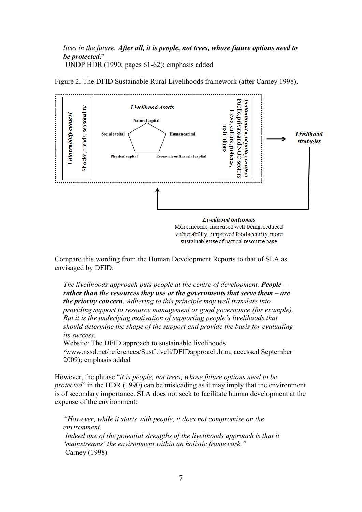*lives in the future. After all, it is people, not trees, whose future options need to be protected***.**" UNDP HDR (1990; pages 61-62); emphasis added



Figure 2. The DFID Sustainable Rural Livelihoods framework (after Carney 1998).

vulnerability, improved food security, more sustainable use of natural resource base

Compare this wording from the Human Development Reports to that of SLA as envisaged by DFID:

*The livelihoods approach puts people at the centre of development. People – rather than the resources they use or the governments that serve them – are the priority concern. Adhering to this principle may well translate into providing support to resource management or good governance (for example). But it is the underlying motivation of supporting people"s livelihoods that should determine the shape of the support and provide the basis for evaluating its success.* 

Website: The DFID approach to sustainable livelihoods

*(*[www.nssd.net/references/SustLiveli/DFIDapproach.htm,](http://www.nssd.net/references/SustLiveli/DFIDapproach.htm) accessed September 2009); emphasis added

However, the phrase "*it is people, not trees, whose future options need to be protected*" in the HDR (1990) can be misleading as it may imply that the environment is of secondary importance. SLA does not seek to facilitate human development at the expense of the environment:

*"However, while it starts with people, it does not compromise on the environment.*  Indeed one of the potential strengths of the livelihoods approach is that it *"mainstreams" the environment within an holistic framework."* Carney (1998)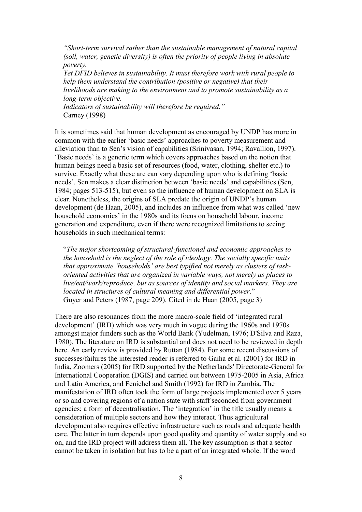*"Short-term survival rather than the sustainable management of natural capital (soil, water, genetic diversity) is often the priority of people living in absolute poverty.* 

*Yet DFID believes in sustainability. It must therefore work with rural people to help them understand the contribution (positive or negative) that their livelihoods are making to the environment and to promote sustainability as a long-term objective.*

*Indicators of sustainability will therefore be required."* Carney (1998)

It is sometimes said that human development as encouraged by UNDP has more in common with the earlier "basic needs" approaches to poverty measurement and alleviation than to Sen"s vision of capabilities (Srinivasan, 1994; Ravallion, 1997). 'Basic needs' is a generic term which covers approaches based on the notion that human beings need a basic set of resources (food, water, clothing, shelter etc.) to survive. Exactly what these are can vary depending upon who is defining "basic needs". Sen makes a clear distinction between "basic needs" and capabilities (Sen, 1984; pages 513-515), but even so the influence of human development on SLA is clear. Nonetheless, the origins of SLA predate the origin of UNDP"s human development (de Haan, 2005), and includes an influence from what was called "new household economics' in the 1980s and its focus on household labour, income generation and expenditure, even if there were recognized limitations to seeing households in such mechanical terms:

"*The major shortcoming of structural-functional and economic approaches to the household is the neglect of the role of ideology. The socially specific units that approximate "households" are best typified not merely as clusters of taskoriented activities that are organized in variable ways, not merely as places to live/eat/work/reproduce, but as sources of identity and social markers. They are located in structures of cultural meaning and differential power*." Guyer and Peters (1987, page 209). Cited in de Haan (2005, page 3)

There are also resonances from the more macro-scale field of "integrated rural development' (IRD) which was very much in vogue during the 1960s and 1970s amongst major funders such as the World Bank (Yudelman, 1976; D'Silva and Raza, 1980). The literature on IRD is substantial and does not need to be reviewed in depth here. An early review is provided by Ruttan (1984). For some recent discussions of successes/failures the interested reader is referred to Gaiha et al. (2001) for IRD in India, Zoomers (2005) for IRD supported by the Netherlands' Directorate-General for International Cooperation (DGIS) and carried out between 1975-2005 in Asia, Africa and Latin America, and Fenichel and Smith (1992) for IRD in Zambia. The manifestation of IRD often took the form of large projects implemented over 5 years or so and covering regions of a nation state with staff seconded from government agencies; a form of decentralisation. The 'integration' in the title usually means a consideration of multiple sectors and how they interact. Thus agricultural development also requires effective infrastructure such as roads and adequate health care. The latter in turn depends upon good quality and quantity of water supply and so on, and the IRD project will address them all. The key assumption is that a sector cannot be taken in isolation but has to be a part of an integrated whole. If the word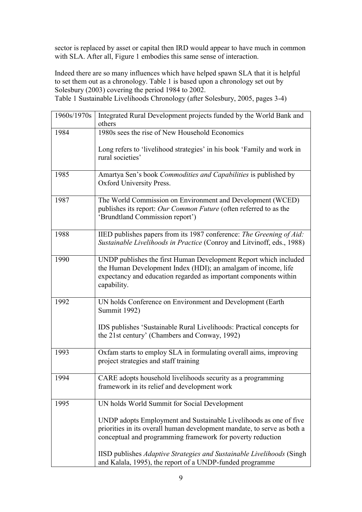sector is replaced by asset or capital then IRD would appear to have much in common with SLA. After all, Figure 1 embodies this same sense of interaction.

Indeed there are so many influences which have helped spawn SLA that it is helpful to set them out as a chronology. Table 1 is based upon a chronology set out by Solesbury (2003) covering the period 1984 to 2002. Table 1 Sustainable Livelihoods Chronology (after Solesbury, 2005, pages 3-4)

| 1960s/1970s | Integrated Rural Development projects funded by the World Bank and<br>others                                                                                                                                         |
|-------------|----------------------------------------------------------------------------------------------------------------------------------------------------------------------------------------------------------------------|
| 1984        | 1980s sees the rise of New Household Economics                                                                                                                                                                       |
|             | Long refers to 'livelihood strategies' in his book 'Family and work in<br>rural societies'                                                                                                                           |
| 1985        | Amartya Sen's book Commodities and Capabilities is published by<br>Oxford University Press.                                                                                                                          |
| 1987        | The World Commission on Environment and Development (WCED)<br>publishes its report: Our Common Future (often referred to as the<br>'Brundtland Commission report')                                                   |
| 1988        | IIED publishes papers from its 1987 conference: The Greening of Aid:<br>Sustainable Livelihoods in Practice (Conroy and Litvinoff, eds., 1988)                                                                       |
| 1990        | UNDP publishes the first Human Development Report which included<br>the Human Development Index (HDI); an amalgam of income, life<br>expectancy and education regarded as important components within<br>capability. |
| 1992        | UN holds Conference on Environment and Development (Earth<br><b>Summit 1992)</b>                                                                                                                                     |
|             | IDS publishes 'Sustainable Rural Livelihoods: Practical concepts for<br>the 21st century' (Chambers and Conway, 1992)                                                                                                |
| 1993        | Oxfam starts to employ SLA in formulating overall aims, improving<br>project strategies and staff training                                                                                                           |
| 1994        | CARE adopts household livelihoods security as a programming<br>framework in its relief and development work                                                                                                          |
| 1995        | UN holds World Summit for Social Development                                                                                                                                                                         |
|             | UNDP adopts Employment and Sustainable Livelihoods as one of five<br>priorities in its overall human development mandate, to serve as both a<br>conceptual and programming framework for poverty reduction           |
|             | IISD publishes Adaptive Strategies and Sustainable Livelihoods (Singh<br>and Kalala, 1995), the report of a UNDP-funded programme                                                                                    |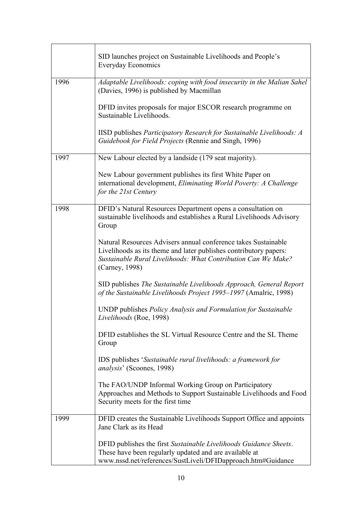|      | SID launches project on Sustainable Livelihoods and People's<br><b>Everyday Economics</b>                                                                                                                              |
|------|------------------------------------------------------------------------------------------------------------------------------------------------------------------------------------------------------------------------|
| 1996 | Adaptable Livelihoods: coping with food insecurity in the Malian Sahel<br>(Davies, 1996) is published by Macmillan                                                                                                     |
|      | DFID invites proposals for major ESCOR research programme on<br>Sustainable Livelihoods.                                                                                                                               |
|      | IISD publishes Participatory Research for Sustainable Livelihoods: A<br>Guidebook for Field Projects (Rennie and Singh, 1996)                                                                                          |
| 1997 | New Labour elected by a landside (179 seat majority).                                                                                                                                                                  |
|      | New Labour government publishes its first White Paper on<br>international development, Eliminating World Poverty: A Challenge<br>for the 21st Century                                                                  |
| 1998 | DFID's Natural Resources Department opens a consultation on<br>sustainable livelihoods and establishes a Rural Livelihoods Advisory<br>Group                                                                           |
|      | Natural Resources Advisers annual conference takes Sustainable<br>Livelihoods as its theme and later publishes contributory papers:<br>Sustainable Rural Livelihoods: What Contribution Can We Make?<br>(Carney, 1998) |
|      | SID publishes The Sustainable Livelihoods Approach, General Report<br>of the Sustainable Livelihoods Project 1995-1997 (Amalric, 1998)                                                                                 |
|      | UNDP publishes Policy Analysis and Formulation for Sustainable<br>Livelihoods (Roe, 1998)                                                                                                                              |
|      | DFID establishes the SL Virtual Resource Centre and the SL Theme<br>Group                                                                                                                                              |
|      | IDS publishes 'Sustainable rural livelihoods: a framework for<br>analysis' (Scoones, 1998)                                                                                                                             |
|      | The FAO/UNDP Informal Working Group on Participatory<br>Approaches and Methods to Support Sustainable Livelihoods and Food<br>Security meets for the first time                                                        |
| 1999 | DFID creates the Sustainable Livelihoods Support Office and appoints<br>Jane Clark as its Head                                                                                                                         |
|      | DFID publishes the first Sustainable Livelihoods Guidance Sheets.<br>These have been regularly updated and are available at<br>www.nssd.net/references/SustLiveli/DFIDapproach.htm#Guidance                            |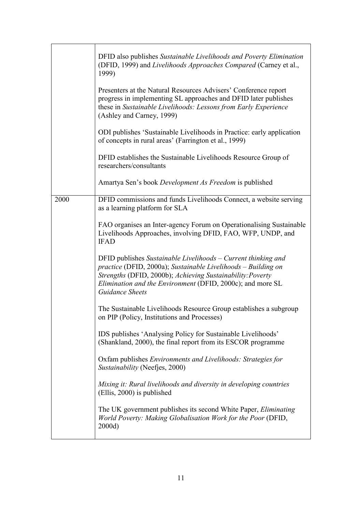|      | DFID also publishes Sustainable Livelihoods and Poverty Elimination<br>(DFID, 1999) and Livelihoods Approaches Compared (Carney et al.,<br>1999)<br>Presenters at the Natural Resources Advisers' Conference report<br>progress in implementing SL approaches and DFID later publishes<br>these in Sustainable Livelihoods: Lessons from Early Experience<br>(Ashley and Carney, 1999)<br>ODI publishes 'Sustainable Livelihoods in Practice: early application<br>of concepts in rural areas' (Farrington et al., 1999)<br>DFID establishes the Sustainable Livelihoods Resource Group of<br>researchers/consultants<br>Amartya Sen's book Development As Freedom is published |
|------|---------------------------------------------------------------------------------------------------------------------------------------------------------------------------------------------------------------------------------------------------------------------------------------------------------------------------------------------------------------------------------------------------------------------------------------------------------------------------------------------------------------------------------------------------------------------------------------------------------------------------------------------------------------------------------|
|      |                                                                                                                                                                                                                                                                                                                                                                                                                                                                                                                                                                                                                                                                                 |
| 2000 | DFID commissions and funds Livelihoods Connect, a website serving<br>as a learning platform for SLA                                                                                                                                                                                                                                                                                                                                                                                                                                                                                                                                                                             |
|      | FAO organises an Inter-agency Forum on Operationalising Sustainable<br>Livelihoods Approaches, involving DFID, FAO, WFP, UNDP, and<br><b>IFAD</b>                                                                                                                                                                                                                                                                                                                                                                                                                                                                                                                               |
|      | DFID publishes Sustainable Livelihoods – Current thinking and<br>practice (DFID, 2000a); Sustainable Livelihoods - Building on<br>Strengths (DFID, 2000b); Achieving Sustainability: Poverty<br>Elimination and the Environment (DFID, 2000c); and more SL<br><b>Guidance Sheets</b>                                                                                                                                                                                                                                                                                                                                                                                            |
|      | The Sustainable Livelihoods Resource Group establishes a subgroup<br>on PIP (Policy, Institutions and Processes)                                                                                                                                                                                                                                                                                                                                                                                                                                                                                                                                                                |
|      | IDS publishes 'Analysing Policy for Sustainable Livelihoods'<br>(Shankland, 2000), the final report from its ESCOR programme                                                                                                                                                                                                                                                                                                                                                                                                                                                                                                                                                    |
|      | Oxfam publishes <i>Environments and Livelihoods: Strategies for</i><br>Sustainability (Neefjes, 2000)                                                                                                                                                                                                                                                                                                                                                                                                                                                                                                                                                                           |
|      | Mixing it: Rural livelihoods and diversity in developing countries<br>(Ellis, 2000) is published                                                                                                                                                                                                                                                                                                                                                                                                                                                                                                                                                                                |
|      | The UK government publishes its second White Paper, <i>Eliminating</i><br>World Poverty: Making Globalisation Work for the Poor (DFID,<br>2000d)                                                                                                                                                                                                                                                                                                                                                                                                                                                                                                                                |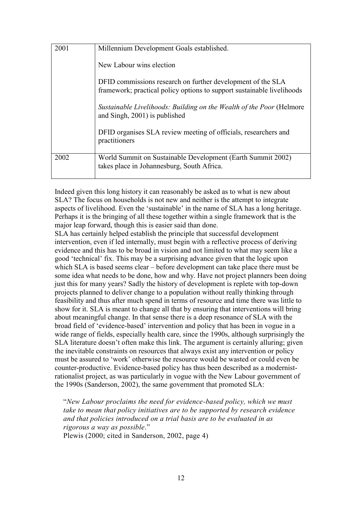| 2001 | Millennium Development Goals established.<br>New Labour wins election<br>DFID commissions research on further development of the SLA |
|------|--------------------------------------------------------------------------------------------------------------------------------------|
|      | framework; practical policy options to support sustainable livelihoods                                                               |
|      | Sustainable Livelihoods: Building on the Wealth of the Poor (Helmore<br>and Singh, 2001) is published                                |
|      | DFID organises SLA review meeting of officials, researchers and<br>practitioners                                                     |
| 2002 | World Summit on Sustainable Development (Earth Summit 2002)<br>takes place in Johannesburg, South Africa.                            |

Indeed given this long history it can reasonably be asked as to what is new about SLA? The focus on households is not new and neither is the attempt to integrate aspects of livelihood. Even the "sustainable" in the name of SLA has a long heritage. Perhaps it is the bringing of all these together within a single framework that is the major leap forward, though this is easier said than done.

SLA has certainly helped establish the principle that successful development intervention, even if led internally, must begin with a reflective process of deriving evidence and this has to be broad in vision and not limited to what may seem like a good "technical" fix. This may be a surprising advance given that the logic upon which SLA is based seems clear – before development can take place there must be some idea what needs to be done, how and why. Have not project planners been doing just this for many years? Sadly the history of development is replete with top-down projects planned to deliver change to a population without really thinking through feasibility and thus after much spend in terms of resource and time there was little to show for it. SLA is meant to change all that by ensuring that interventions will bring about meaningful change. In that sense there is a deep resonance of SLA with the broad field of "evidence-based" intervention and policy that has been in vogue in a wide range of fields, especially health care, since the 1990s, although surprisingly the SLA literature doesn't often make this link. The argument is certainly alluring; given the inevitable constraints on resources that always exist any intervention or policy must be assured to "work" otherwise the resource would be wasted or could even be counter-productive. Evidence-based policy has thus been described as a modernistrationalist project, as was particularly in vogue with the New Labour government of the 1990s (Sanderson, 2002), the same government that promoted SLA:

"*New Labour proclaims the need for evidence-based policy, which we must take to mean that policy initiatives are to be supported by research evidence and that policies introduced on a trial basis are to be evaluated in as rigorous a way as possible*." Plewis (2000; cited in Sanderson, 2002, page 4)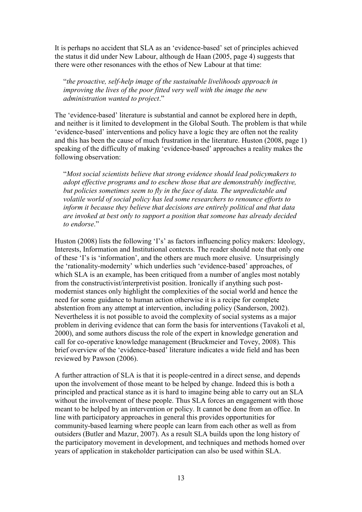It is perhaps no accident that SLA as an "evidence-based" set of principles achieved the status it did under New Labour, although de Haan (2005, page 4) suggests that there were other resonances with the ethos of New Labour at that time:

"*the proactive, self-help image of the sustainable livelihoods approach in improving the lives of the poor fitted very well with the image the new administration wanted to project*."

The "evidence-based" literature is substantial and cannot be explored here in depth, and neither is it limited to development in the Global South. The problem is that while "evidence-based" interventions and policy have a logic they are often not the reality and this has been the cause of much frustration in the literature. Huston (2008, page 1) speaking of the difficulty of making "evidence-based" approaches a reality makes the following observation:

"*Most social scientists believe that strong evidence should lead policymakers to adopt effective programs and to eschew those that are demonstrably ineffective, but policies sometimes seem to fly in the face of data. The unpredictable and volatile world of social policy has led some researchers to renounce efforts to inform it because they believe that decisions are entirely political and that data are invoked at best only to support a position that someone has already decided to endorse*."

Huston (2008) lists the following 'I's' as factors influencing policy makers: Ideology, Interests, Information and Institutional contexts. The reader should note that only one of these "I"s is "information", and the others are much more elusive. Unsurprisingly the "rationality-modernity" which underlies such "evidence-based" approaches, of which SLA is an example, has been critiqued from a number of angles most notably from the constructivist/interpretivist position. Ironically if anything such postmodernist stances only highlight the complexities of the social world and hence the need for some guidance to human action otherwise it is a recipe for complete abstention from any attempt at intervention, including policy (Sanderson, 2002). Nevertheless it is not possible to avoid the complexity of social systems as a major problem in deriving evidence that can form the basis for interventions (Tavakoli et al, 2000), and some authors discuss the role of the expert in knowledge generation and call for co-operative knowledge management (Bruckmeier and Tovey, 2008). This brief overview of the "evidence-based" literature indicates a wide field and has been reviewed by Pawson (2006).

A further attraction of SLA is that it is people-centred in a direct sense, and depends upon the involvement of those meant to be helped by change. Indeed this is both a principled and practical stance as it is hard to imagine being able to carry out an SLA without the involvement of these people. Thus SLA forces an engagement with those meant to be helped by an intervention or policy. It cannot be done from an office. In line with participatory approaches in general this provides opportunities for community-based learning where people can learn from each other as well as from outsiders (Butler and Mazur, 2007). As a result SLA builds upon the long history of the participatory movement in development, and techniques and methods homed over years of application in stakeholder participation can also be used within SLA.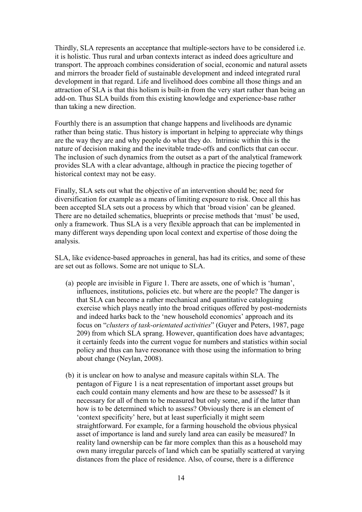Thirdly, SLA represents an acceptance that multiple-sectors have to be considered i.e. it is holistic. Thus rural and urban contexts interact as indeed does agriculture and transport. The approach combines consideration of social, economic and natural assets and mirrors the broader field of sustainable development and indeed integrated rural development in that regard. Life and livelihood does combine all those things and an attraction of SLA is that this holism is built-in from the very start rather than being an add-on. Thus SLA builds from this existing knowledge and experience-base rather than taking a new direction.

Fourthly there is an assumption that change happens and livelihoods are dynamic rather than being static. Thus history is important in helping to appreciate why things are the way they are and why people do what they do. Intrinsic within this is the nature of decision making and the inevitable trade-offs and conflicts that can occur. The inclusion of such dynamics from the outset as a part of the analytical framework provides SLA with a clear advantage, although in practice the piecing together of historical context may not be easy.

Finally, SLA sets out what the objective of an intervention should be; need for diversification for example as a means of limiting exposure to risk. Once all this has been accepted SLA sets out a process by which that "broad vision" can be gleaned. There are no detailed schematics, blueprints or precise methods that "must" be used, only a framework. Thus SLA is a very flexible approach that can be implemented in many different ways depending upon local context and expertise of those doing the analysis.

SLA, like evidence-based approaches in general, has had its critics, and some of these are set out as follows. Some are not unique to SLA.

- (a) people are invisible in Figure 1. There are assets, one of which is "human", influences, institutions, policies etc. but where are the people? The danger is that SLA can become a rather mechanical and quantitative cataloguing exercise which plays neatly into the broad critiques offered by post-modernists and indeed harks back to the "new household economics" approach and its focus on "*clusters of task-orientated activities*" (Guyer and Peters, 1987, page 209) from which SLA sprang. However, quantification does have advantages; it certainly feeds into the current vogue for numbers and statistics within social policy and thus can have resonance with those using the information to bring about change (Neylan, 2008).
- (b) it is unclear on how to analyse and measure capitals within SLA. The pentagon of Figure 1 is a neat representation of important asset groups but each could contain many elements and how are these to be assessed? Is it necessary for all of them to be measured but only some, and if the latter than how is to be determined which to assess? Obviously there is an element of "context specificity" here, but at least superficially it might seem straightforward. For example, for a farming household the obvious physical asset of importance is land and surely land area can easily be measured? In reality land ownership can be far more complex than this as a household may own many irregular parcels of land which can be spatially scattered at varying distances from the place of residence. Also, of course, there is a difference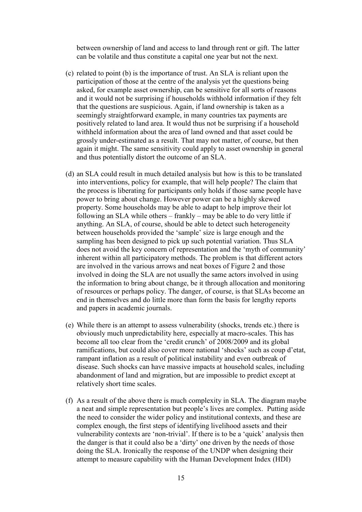between ownership of land and access to land through rent or gift. The latter can be volatile and thus constitute a capital one year but not the next.

- (c) related to point (b) is the importance of trust. An SLA is reliant upon the participation of those at the centre of the analysis yet the questions being asked, for example asset ownership, can be sensitive for all sorts of reasons and it would not be surprising if households withhold information if they felt that the questions are suspicious. Again, if land ownership is taken as a seemingly straightforward example, in many countries tax payments are positively related to land area. It would thus not be surprising if a household withheld information about the area of land owned and that asset could be grossly under-estimated as a result. That may not matter, of course, but then again it might. The same sensitivity could apply to asset ownership in general and thus potentially distort the outcome of an SLA.
- (d) an SLA could result in much detailed analysis but how is this to be translated into interventions, policy for example, that will help people? The claim that the process is liberating for participants only holds if those same people have power to bring about change. However power can be a highly skewed property. Some households may be able to adapt to help improve their lot following an SLA while others – frankly – may be able to do very little if anything. An SLA, of course, should be able to detect such heterogeneity between households provided the "sample" size is large enough and the sampling has been designed to pick up such potential variation. Thus SLA does not avoid the key concern of representation and the "myth of community" inherent within all participatory methods. The problem is that different actors are involved in the various arrows and neat boxes of Figure 2 and those involved in doing the SLA are not usually the same actors involved in using the information to bring about change, be it through allocation and monitoring of resources or perhaps policy. The danger, of course, is that SLAs become an end in themselves and do little more than form the basis for lengthy reports and papers in academic journals.
- (e) While there is an attempt to assess vulnerability (shocks, trends etc.) there is obviously much unpredictability here, especially at macro-scales. This has become all too clear from the "credit crunch" of 2008/2009 and its global ramifications, but could also cover more national "shocks" such as coup d"etat, rampant inflation as a result of political instability and even outbreak of disease. Such shocks can have massive impacts at household scales, including abandonment of land and migration, but are impossible to predict except at relatively short time scales.
- (f) As a result of the above there is much complexity in SLA. The diagram maybe a neat and simple representation but people"s lives are complex. Putting aside the need to consider the wider policy and institutional contexts, and these are complex enough, the first steps of identifying livelihood assets and their vulnerability contexts are "non-trivial". If there is to be a "quick" analysis then the danger is that it could also be a "dirty" one driven by the needs of those doing the SLA. Ironically the response of the UNDP when designing their attempt to measure capability with the Human Development Index (HDI)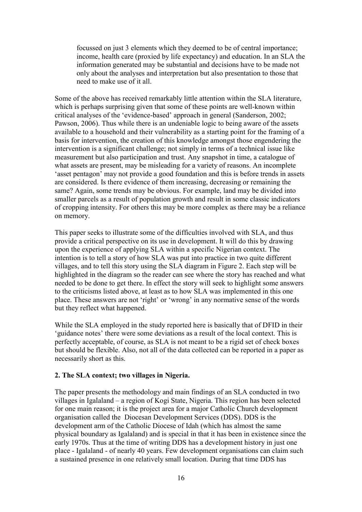focussed on just 3 elements which they deemed to be of central importance; income, health care (proxied by life expectancy) and education. In an SLA the information generated may be substantial and decisions have to be made not only about the analyses and interpretation but also presentation to those that need to make use of it all.

Some of the above has received remarkably little attention within the SLA literature, which is perhaps surprising given that some of these points are well-known within critical analyses of the "evidence-based" approach in general (Sanderson, 2002; Pawson, 2006). Thus while there is an undeniable logic to being aware of the assets available to a household and their vulnerability as a starting point for the framing of a basis for intervention, the creation of this knowledge amongst those engendering the intervention is a significant challenge; not simply in terms of a technical issue like measurement but also participation and trust. Any snapshot in time, a catalogue of what assets are present, may be misleading for a variety of reasons. An incomplete 'asset pentagon' may not provide a good foundation and this is before trends in assets are considered. Is there evidence of them increasing, decreasing or remaining the same? Again, some trends may be obvious. For example, land may be divided into smaller parcels as a result of population growth and result in some classic indicators of cropping intensity. For others this may be more complex as there may be a reliance on memory.

This paper seeks to illustrate some of the difficulties involved with SLA, and thus provide a critical perspective on its use in development. It will do this by drawing upon the experience of applying SLA within a specific Nigerian context. The intention is to tell a story of how SLA was put into practice in two quite different villages, and to tell this story using the SLA diagram in Figure 2. Each step will be highlighted in the diagram so the reader can see where the story has reached and what needed to be done to get there. In effect the story will seek to highlight some answers to the criticisms listed above, at least as to how SLA was implemented in this one place. These answers are not "right" or "wrong" in any normative sense of the words but they reflect what happened.

While the SLA employed in the study reported here is basically that of DFID in their 'guidance notes' there were some deviations as a result of the local context. This is perfectly acceptable, of course, as SLA is not meant to be a rigid set of check boxes but should be flexible. Also, not all of the data collected can be reported in a paper as necessarily short as this.

# **2. The SLA context; two villages in Nigeria.**

The paper presents the methodology and main findings of an SLA conducted in two villages in Igalaland – a region of Kogi State, Nigeria. This region has been selected for one main reason; it is the project area for a major Catholic Church development organisation called the Diocesan Development Services (DDS). DDS is the development arm of the Catholic Diocese of Idah (which has almost the same physical boundary as Igalaland) and is special in that it has been in existence since the early 1970s. Thus at the time of writing DDS has a development history in just one place - Igalaland - of nearly 40 years. Few development organisations can claim such a sustained presence in one relatively small location. During that time DDS has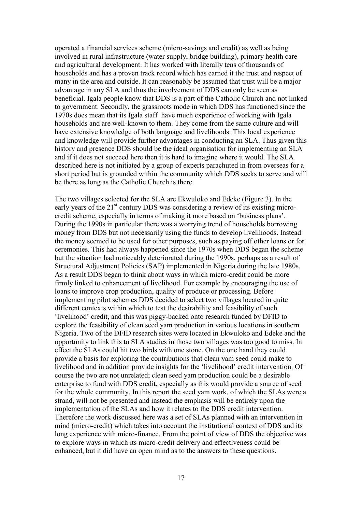operated a financial services scheme (micro-savings and credit) as well as being involved in rural infrastructure (water supply, bridge building), primary health care and agricultural development. It has worked with literally tens of thousands of households and has a proven track record which has earned it the trust and respect of many in the area and outside. It can reasonably be assumed that trust will be a major advantage in any SLA and thus the involvement of DDS can only be seen as beneficial. Igala people know that DDS is a part of the Catholic Church and not linked to government. Secondly, the grassroots mode in which DDS has functioned since the 1970s does mean that its Igala staff have much experience of working with Igala households and are well-known to them. They come from the same culture and will have extensive knowledge of both language and livelihoods. This local experience and knowledge will provide further advantages in conducting an SLA. Thus given this history and presence DDS should be the ideal organisation for implementing an SLA and if it does not succeed here then it is hard to imagine where it would. The SLA described here is not initiated by a group of experts parachuted in from overseas for a short period but is grounded within the community which DDS seeks to serve and will be there as long as the Catholic Church is there.

The two villages selected for the SLA are Ekwuloko and Edeke (Figure 3). In the early years of the 21<sup>st</sup> century DDS was considering a review of its existing microcredit scheme, especially in terms of making it more based on "business plans". During the 1990s in particular there was a worrying trend of households borrowing money from DDS but not necessarily using the funds to develop livelihoods. Instead the money seemed to be used for other purposes, such as paying off other loans or for ceremonies. This had always happened since the 1970s when DDS began the scheme but the situation had noticeably deteriorated during the 1990s, perhaps as a result of Structural Adjustment Policies (SAP) implemented in Nigeria during the late 1980s. As a result DDS began to think about ways in which micro-credit could be more firmly linked to enhancement of livelihood. For example by encouraging the use of loans to improve crop production, quality of produce or processing. Before implementing pilot schemes DDS decided to select two villages located in quite different contexts within which to test the desirability and feasibility of such "livelihood" credit, and this was piggy-backed onto research funded by DFID to explore the feasibility of clean seed yam production in various locations in southern Nigeria. Two of the DFID research sites were located in Ekwuloko and Edeke and the opportunity to link this to SLA studies in those two villages was too good to miss. In effect the SLAs could hit two birds with one stone. On the one hand they could provide a basis for exploring the contributions that clean yam seed could make to livelihood and in addition provide insights for the "livelihood" credit intervention. Of course the two are not unrelated; clean seed yam production could be a desirable enterprise to fund with DDS credit, especially as this would provide a source of seed for the whole community. In this report the seed yam work, of which the SLAs were a strand, will not be presented and instead the emphasis will be entirely upon the implementation of the SLAs and how it relates to the DDS credit intervention. Therefore the work discussed here was a set of SLAs planned with an intervention in mind (micro-credit) which takes into account the institutional context of DDS and its long experience with micro-finance. From the point of view of DDS the objective was to explore ways in which its micro-credit delivery and effectiveness could be enhanced, but it did have an open mind as to the answers to these questions.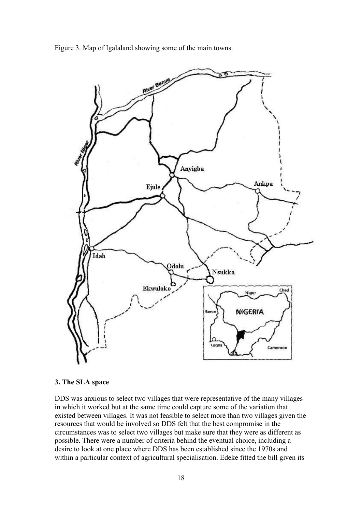Figure 3. Map of Igalaland showing some of the main towns.



#### **3. The SLA space**

DDS was anxious to select two villages that were representative of the many villages in which it worked but at the same time could capture some of the variation that existed between villages. It was not feasible to select more than two villages given the resources that would be involved so DDS felt that the best compromise in the circumstances was to select two villages but make sure that they were as different as possible. There were a number of criteria behind the eventual choice, including a desire to look at one place where DDS has been established since the 1970s and within a particular context of agricultural specialisation. Edeke fitted the bill given its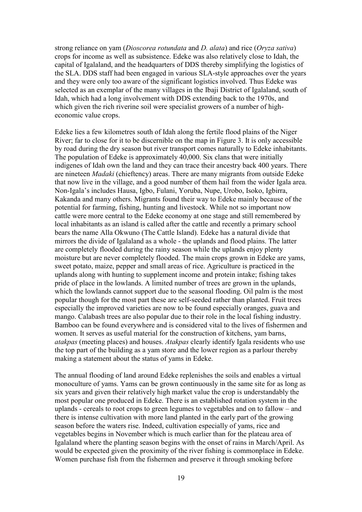strong reliance on yam (*Dioscorea rotundata* and *D. alata*) and rice (*Oryza sativa*) crops for income as well as subsistence. Edeke was also relatively close to Idah, the capital of Igalaland, and the headquarters of DDS thereby simplifying the logistics of the SLA. DDS staff had been engaged in various SLA-style approaches over the years and they were only too aware of the significant logistics involved. Thus Edeke was selected as an exemplar of the many villages in the Ibaji District of Igalaland, south of Idah, which had a long involvement with DDS extending back to the 1970s, and which given the rich riverine soil were specialist growers of a number of higheconomic value crops.

Edeke lies a few kilometres south of Idah along the fertile flood plains of the Niger River; far to close for it to be discernible on the map in Figure 3. It is only accessible by road during the dry season but river transport comes naturally to Edeke inhabitants. The population of Edeke is approximately 40,000. Six clans that were initially indigenes of Idah own the land and they can trace their ancestry back 400 years. There are nineteen *Madaki* (chieftency) areas. There are many migrants from outside Edeke that now live in the village, and a good number of them hail from the wider Igala area. Non-Igala"s includes Hausa, Igbo, Fulani, Yoruba, Nupe, Urobo, Isoko, Igbirra, Kakanda and many others. Migrants found their way to Edeke mainly because of the potential for farming, fishing, hunting and livestock. While not so important now cattle were more central to the Edeke economy at one stage and still remembered by local inhabitants as an island is called after the cattle and recently a primary school bears the name Alla Okwuno (The Cattle Island). Edeke has a natural divide that mirrors the divide of Igalaland as a whole - the uplands and flood plains. The latter are completely flooded during the rainy season while the uplands enjoy plenty moisture but are never completely flooded. The main crops grown in Edeke are yams, sweet potato, maize, pepper and small areas of rice. Agriculture is practiced in the uplands along with hunting to supplement income and protein intake; fishing takes pride of place in the lowlands. A limited number of trees are grown in the uplands, which the lowlands cannot support due to the seasonal flooding. Oil palm is the most popular though for the most part these are self-seeded rather than planted. Fruit trees especially the improved varieties are now to be found especially oranges, guava and mango. Calabash trees are also popular due to their role in the local fishing industry. Bamboo can be found everywhere and is considered vital to the lives of fishermen and women. It serves as useful material for the construction of kitchens, yam barns, *atakpas* (meeting places) and houses. *Atakpas* clearly identify Igala residents who use the top part of the building as a yam store and the lower region as a parlour thereby making a statement about the status of yams in Edeke.

The annual flooding of land around Edeke replenishes the soils and enables a virtual monoculture of yams. Yams can be grown continuously in the same site for as long as six years and given their relatively high market value the crop is understandably the most popular one produced in Edeke. There is an established rotation system in the uplands - cereals to root crops to green legumes to vegetables and on to fallow – and there is intense cultivation with more land planted in the early part of the growing season before the waters rise. Indeed, cultivation especially of yams, rice and vegetables begins in November which is much earlier than for the plateau area of Igalaland where the planting season begins with the onset of rains in March/April. As would be expected given the proximity of the river fishing is commonplace in Edeke. Women purchase fish from the fishermen and preserve it through smoking before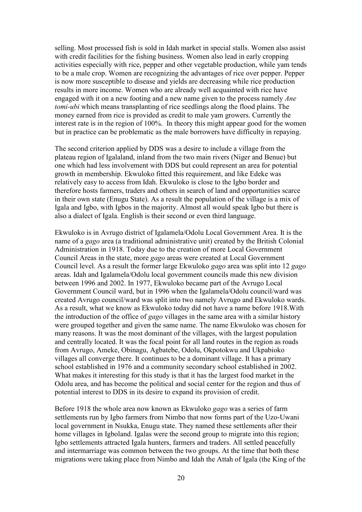selling. Most processed fish is sold in Idah market in special stalls. Women also assist with credit facilities for the fishing business. Women also lead in early cropping activities especially with rice, pepper and other vegetable production, while yam tends to be a male crop. Women are recognizing the advantages of rice over pepper. Pepper is now more susceptible to disease and yields are decreasing while rice production results in more income. Women who are already well acquainted with rice have engaged with it on a new footing and a new name given to the process namely *Ane tomi-ubi* which means transplanting of rice seedlings along the flood plains. The money earned from rice is provided as credit to male yam growers. Currently the interest rate is in the region of 100%. In theory this might appear good for the women but in practice can be problematic as the male borrowers have difficulty in repaying.

The second criterion applied by DDS was a desire to include a village from the plateau region of Igalaland, inland from the two main rivers (Niger and Benue) but one which had less involvement with DDS but could represent an area for potential growth in membership. Ekwuloko fitted this requirement, and like Edeke was relatively easy to access from Idah. Ekwuloko is close to the Igbo border and therefore hosts farmers, traders and others in search of land and opportunities scarce in their own state (Enugu State). As a result the population of the village is a mix of Igala and Igbo, with Igbos in the majority. Almost all would speak Igbo but there is also a dialect of Igala. English is their second or even third language.

Ekwuloko is in Avrugo district of Igalamela/Odolu Local Government Area. It is the name of a *gago* area (a traditional administrative unit) created by the British Colonial Administration in 1918. Today due to the creation of more Local Government Council Areas in the state, more *gago* areas were created at Local Government Council level. As a result the former large Ekwuloko *gago* area was split into 12 *gago* areas. Idah and Igalamela/Odolu local government councils made this new division between 1996 and 2002. In 1977, Ekwuloko became part of the Avrugo Local Government Council ward, but in 1996 when the Igalamela/Odolu council/ward was created Avrugo council/ward was split into two namely Avrugo and Ekwuloko wards. As a result, what we know as Ekwuloko today did not have a name before 1918.With the introduction of the office of *gago* villages in the same area with a similar history were grouped together and given the same name. The name Ekwuloko was chosen for many reasons. It was the most dominant of the villages, with the largest population and centrally located. It was the focal point for all land routes in the region as roads from Avrugo, Ameke, Obinagu, Agbatebe, Odolu, Okpotokwu and Ukpabioko villages all converge there. It continues to be a dominant village. It has a primary school established in 1976 and a community secondary school established in 2002. What makes it interesting for this study is that it has the largest food market in the Odolu area, and has become the political and social center for the region and thus of potential interest to DDS in its desire to expand its provision of credit.

Before 1918 the whole area now known as Ekwuloko *gago* was a series of farm settlements run by Igbo farmers from Nimbo that now forms part of the Uzo-Uwani local government in Nsukka, Enugu state. They named these settlements after their home villages in Igboland. Igalas were the second group to migrate into this region; Igbo settlements attracted Igala hunters, farmers and traders. All settled peacefully and intermarriage was common between the two groups. At the time that both these migrations were taking place from Nimbo and Idah the Attah of Igala (the King of the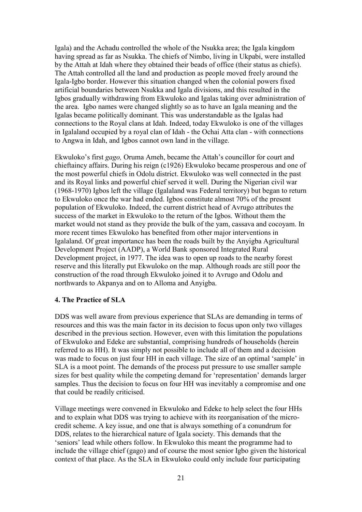Igala) and the Achadu controlled the whole of the Nsukka area; the Igala kingdom having spread as far as Nsukka. The chiefs of Nimbo, living in Ukpabi, were installed by the Attah at Idah where they obtained their beads of office (their status as chiefs). The Attah controlled all the land and production as people moved freely around the Igala-Igbo border. However this situation changed when the colonial powers fixed artificial boundaries between Nsukka and Igala divisions, and this resulted in the Igbos gradually withdrawing from Ekwuloko and Igalas taking over administration of the area. Igbo names were changed slightly so as to have an Igala meaning and the Igalas became politically dominant. This was understandable as the Igalas had connections to the Royal clans at Idah. Indeed, today Ekwuloko is one of the villages in Igalaland occupied by a royal clan of Idah - the Ochai Atta clan - with connections to Angwa in Idah, and Igbos cannot own land in the village.

Ekwuloko"s first *gago,* Oruma Ameh, became the Attah"s councillor for court and chieftaincy affairs. During his reign (c1926) Ekwuloko became prosperous and one of the most powerful chiefs in Odolu district. Ekwuloko was well connected in the past and its Royal links and powerful chief served it well. During the Nigerian civil war (1968-1970) Igbos left the village (Igalaland was Federal territory) but began to return to Ekwuloko once the war had ended. Igbos constitute almost 70% of the present population of Ekwuloko. Indeed, the current district head of Avrugo attributes the success of the market in Ekwuloko to the return of the Igbos. Without them the market would not stand as they provide the bulk of the yam, cassava and cocoyam. In more recent times Ekwuloko has benefited from other major interventions in Igalaland. Of great importance has been the roads built by the Anyigba Agricultural Development Project (AADP), a World Bank sponsored Integrated Rural Development project, in 1977. The idea was to open up roads to the nearby forest reserve and this literally put Ekwuloko on the map. Although roads are still poor the construction of the road through Ekwuloko joined it to Avrugo and Odolu and northwards to Akpanya and on to Alloma and Anyigba.

## **4. The Practice of SLA**

DDS was well aware from previous experience that SLAs are demanding in terms of resources and this was the main factor in its decision to focus upon only two villages described in the previous section. However, even with this limitation the populations of Ekwuloko and Edeke are substantial, comprising hundreds of households (herein referred to as HH). It was simply not possible to include all of them and a decision was made to focus on just four HH in each village. The size of an optimal "sample" in SLA is a moot point. The demands of the process put pressure to use smaller sample sizes for best quality while the competing demand for "representation" demands larger samples. Thus the decision to focus on four HH was inevitably a compromise and one that could be readily criticised.

Village meetings were convened in Ekwuloko and Edeke to help select the four HHs and to explain what DDS was trying to achieve with its reorganisation of the microcredit scheme. A key issue, and one that is always something of a conundrum for DDS, relates to the hierarchical nature of Igala society. This demands that the "seniors" lead while others follow. In Ekwuloko this meant the programme had to include the village chief (gago) and of course the most senior Igbo given the historical context of that place. As the SLA in Ekwuloko could only include four participating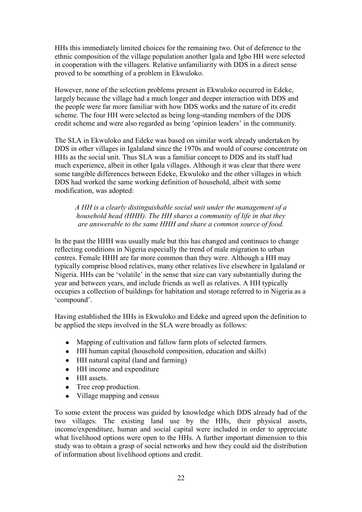HHs this immediately limited choices for the remaining two. Out of deference to the ethnic composition of the village population another Igala and Igbo HH were selected in cooperation with the villagers. Relative unfamiliarity with DDS in a direct sense proved to be something of a problem in Ekwuloko.

However, none of the selection problems present in Ekwuloko occurred in Edeke, largely because the village had a much longer and deeper interaction with DDS and the people were far more familiar with how DDS works and the nature of its credit scheme. The four HH were selected as being long-standing members of the DDS credit scheme and were also regarded as being "opinion leaders" in the community.

The SLA in Ekwuloko and Edeke was based on similar work already undertaken by DDS in other villages in Igalaland since the 1970s and would of course concentrate on HHs as the social unit. Thus SLA was a familiar concept to DDS and its staff had much experience, albeit in other Igala villages. Although it was clear that there were some tangible differences between Edeke, Ekwuloko and the other villages in which DDS had worked the same working definition of household, albeit with some modification, was adopted:

*A HH is a clearly distinguishable social unit under the management of a household head (HHH). The HH shares a community of life in that they are answerable to the same HHH and share a common source of food.*

In the past the HHH was usually male but this has changed and continues to change reflecting conditions in Nigeria especially the trend of male migration to urban centres. Female HHH are far more common than they were. Although a HH may typically comprise blood relatives, many other relatives live elsewhere in Igalaland or Nigeria. HHs can be "volatile" in the sense that size can vary substantially during the year and between years, and include friends as well as relatives. A HH typically occupies a collection of buildings for habitation and storage referred to in Nigeria as a "compound".

Having established the HHs in Ekwuloko and Edeke and agreed upon the definition to be applied the steps involved in the SLA were broadly as follows:

- Mapping of cultivation and fallow farm plots of selected farmers.
- HH human capital (household composition, education and skills)
- HH natural capital (land and farming)
- HH income and expenditure
- HH assets.
- Tree crop production.
- Village mapping and census

To some extent the process was guided by knowledge which DDS already had of the two villages. The existing land use by the HHs, their physical assets, income/expenditure, human and social capital were included in order to appreciate what livelihood options were open to the HHs. A further important dimension to this study was to obtain a grasp of social networks and how they could aid the distribution of information about livelihood options and credit.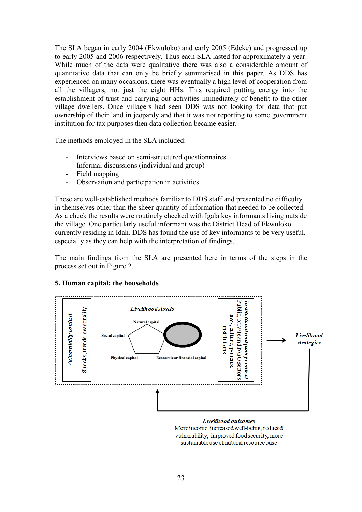The SLA began in early 2004 (Ekwuloko) and early 2005 (Edeke) and progressed up to early 2005 and 2006 respectively. Thus each SLA lasted for approximately a year. While much of the data were qualitative there was also a considerable amount of quantitative data that can only be briefly summarised in this paper. As DDS has experienced on many occasions, there was eventually a high level of cooperation from all the villagers, not just the eight HHs. This required putting energy into the establishment of trust and carrying out activities immediately of benefit to the other village dwellers. Once villagers had seen DDS was not looking for data that put ownership of their land in jeopardy and that it was not reporting to some government institution for tax purposes then data collection became easier.

The methods employed in the SLA included:

- Interviews based on semi-structured questionnaires
- Informal discussions (individual and group)
- Field mapping
- Observation and participation in activities

These are well-established methods familiar to DDS staff and presented no difficulty in themselves other than the sheer quantity of information that needed to be collected. As a check the results were routinely checked with Igala key informants living outside the village. One particularly useful informant was the District Head of Ekwuloko currently residing in Idah. DDS has found the use of key informants to be very useful, especially as they can help with the interpretation of findings.

The main findings from the SLA are presented here in terms of the steps in the process set out in Figure 2.

## **5. Human capital: the households**



Livelihood outcomes More income, increased well-being, reduced vulnerability, improved food security, more sustainable use of natural resource base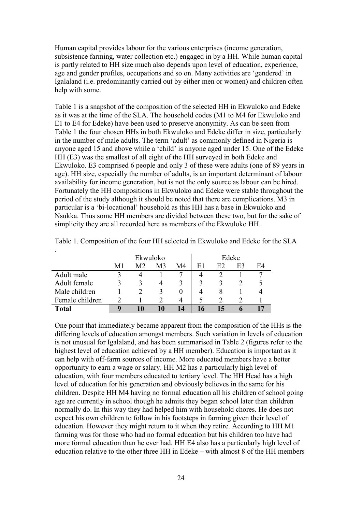Human capital provides labour for the various enterprises (income generation, subsistence farming, water collection etc.) engaged in by a HH. While human capital is partly related to HH size much also depends upon level of education, experience, age and gender profiles, occupations and so on. Many activities are 'gendered' in Igalaland (i.e. predominantly carried out by either men or women) and children often help with some.

Table 1 is a snapshot of the composition of the selected HH in Ekwuloko and Edeke as it was at the time of the SLA. The household codes (M1 to M4 for Ekwuloko and E1 to E4 for Edeke) have been used to preserve anonymity. As can be seen from Table 1 the four chosen HHs in both Ekwuloko and Edeke differ in size, particularly in the number of male adults. The term 'adult' as commonly defined in Nigeria is anyone aged 15 and above while a "child" is anyone aged under 15. One of the Edeke HH (E3) was the smallest of all eight of the HH surveyed in both Edeke and Ekwuloko. E3 comprised 6 people and only 3 of these were adults (one of 89 years in age). HH size, especially the number of adults, is an important determinant of labour availability for income generation, but is not the only source as labour can be hired. Fortunately the HH compositions in Ekwuloko and Edeke were stable throughout the period of the study although it should be noted that there are complications. M3 in particular is a "bi-locational" household as this HH has a base in Ekwuloko and Nsukka. Thus some HH members are divided between these two, but for the sake of simplicity they are all recorded here as members of the Ekwuloko HH.

|                 | Ekwuloko |    |    | Edeke |             |    |    |    |
|-----------------|----------|----|----|-------|-------------|----|----|----|
|                 | M1       | M2 | M3 | M4    | E1          | E2 | E3 | E4 |
| Adult male      |          |    |    |       |             |    |    |    |
| Adult female    |          | 3  |    |       | $\mathbf 3$ |    |    |    |
| Male children   |          |    |    |       |             |    |    |    |
| Female children |          |    |    |       |             |    |    |    |
| Total           | q        | 10 |    | 14    |             |    |    |    |

.

Table 1. Composition of the four HH selected in Ekwuloko and Edeke for the SLA

One point that immediately became apparent from the composition of the HHs is the differing levels of education amongst members. Such variation in levels of education is not unusual for Igalaland, and has been summarised in Table 2 (figures refer to the highest level of education achieved by a HH member). Education is important as it can help with off-farm sources of income. More educated members have a better opportunity to earn a wage or salary. HH M2 has a particularly high level of education, with four members educated to tertiary level. The HH Head has a high level of education for his generation and obviously believes in the same for his children. Despite HH M4 having no formal education all his children of school going age are currently in school though he admits they began school later than children normally do. In this way they had helped him with household chores. He does not expect his own children to follow in his footsteps in farming given their level of education. However they might return to it when they retire. According to HH M1 farming was for those who had no formal education but his children too have had more formal education than he ever had. HH E4 also has a particularly high level of education relative to the other three HH in Edeke – with almost 8 of the HH members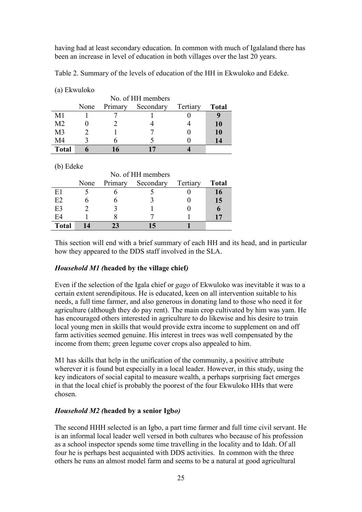having had at least secondary education. In common with much of Igalaland there has been an increase in level of education in both villages over the last 20 years.

|  |  |  |  |  |  |  |  | Table 2. Summary of the levels of education of the HH in Ekwuloko and Edeke. |
|--|--|--|--|--|--|--|--|------------------------------------------------------------------------------|
|--|--|--|--|--|--|--|--|------------------------------------------------------------------------------|

|                | (a) EKWUI0KO      |         |           |          |              |  |  |  |  |
|----------------|-------------------|---------|-----------|----------|--------------|--|--|--|--|
|                | No. of HH members |         |           |          |              |  |  |  |  |
|                | None              | Primary | Secondary | Tertiary | <b>Total</b> |  |  |  |  |
| M1             |                   |         |           |          |              |  |  |  |  |
| M <sub>2</sub> |                   |         |           |          | 10           |  |  |  |  |
| M <sub>3</sub> |                   |         |           |          | 10           |  |  |  |  |
| M4             |                   |         |           |          | 14           |  |  |  |  |
| <b>Total</b>   |                   | 16      | n         |          |              |  |  |  |  |

(b) Edeke

 $(a)$  Elwynlabo

|                | No. of HH members |         |           |          |              |  |  |  |
|----------------|-------------------|---------|-----------|----------|--------------|--|--|--|
|                | None              | Primary | Secondary | Tertiary | <b>Total</b> |  |  |  |
| E1             |                   |         |           |          | 16           |  |  |  |
| E2             |                   |         |           |          | 15           |  |  |  |
| E <sub>3</sub> |                   |         |           |          |              |  |  |  |
| E4             |                   |         |           |          |              |  |  |  |
| <b>Total</b>   | $\Delta$          | 23      |           |          |              |  |  |  |

This section will end with a brief summary of each HH and its head, and in particular how they appeared to the DDS staff involved in the SLA.

## *Household M1 (***headed by the village chief***)*

Even if the selection of the Igala chief or *gago* of Ekwuloko was inevitable it was to a certain extent serendipitous. He is educated, keen on all intervention suitable to his needs, a full time farmer, and also generous in donating land to those who need it for agriculture (although they do pay rent). The main crop cultivated by him was yam. He has encouraged others interested in agriculture to do likewise and his desire to train local young men in skills that would provide extra income to supplement on and off farm activities seemed genuine. His interest in trees was well compensated by the income from them; green legume cover crops also appealed to him.

M1 has skills that help in the unification of the community, a positive attribute wherever it is found but especially in a local leader. However, in this study, using the key indicators of social capital to measure wealth, a perhaps surprising fact emerges in that the local chief is probably the poorest of the four Ekwuloko HHs that were chosen.

## *Household M2 (***headed by a senior Igb***o)*

The second HHH selected is an Igbo, a part time farmer and full time civil servant. He is an informal local leader well versed in both cultures who because of his profession as a school inspector spends some time travelling in the locality and to Idah. Of all four he is perhaps best acquainted with DDS activities. In common with the three others he runs an almost model farm and seems to be a natural at good agricultural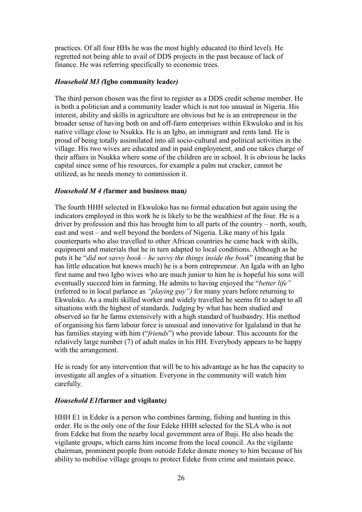practices. Of all four HHs he was the most highly educated (to third level). He regretted not being able to avail of DDS projects in the past because of lack of finance. He was referring specifically to economic trees.

## *Household M3 (***Igbo community leade***r)*

The third person chosen was the first to register as a DDS credit scheme member. He is both a politician and a community leader which is not too unusual in Nigeria. His interest, ability and skills in agriculture are obvious but he is an entrepreneur in the broader sense of having both on and off-farm enterprises within Ekwuloko and in his native village close to Nsukka. He is an Igbo, an immigrant and rents land. He is proud of being totally assimilated into all socio-cultural and political activities in the village. His two wives are educated and in paid employment, and one takes charge of their affairs in Nsukka where some of the children are in school. It is obvious he lacks capital since some of his resources, for example a palm nut cracker, cannot be utilized, as he needs money to commission it.

## *Household M 4 (***farmer and business man***)*

The fourth HHH selected in Ekwuloko has no formal education but again using the indicators employed in this work he is likely to be the wealthiest of the four. He is a driver by profession and this has brought him to all parts of the country – north, south, east and west – and well beyond the borders of Nigeria. Like many of his Igala counterparts who also travelled to other African countries he came back with skills, equipment and materials that he in turn adapted to local conditions. Although as he puts it he "*did not savvy book – he savvy the things inside the book*" (meaning that he has little education but knows much) he is a born entrepreneur. An Igala with an Igbo first name and two Igbo wives who are much junior to him he is hopeful his sons will eventually succeed him in farming. He admits to having enjoyed the "*better life"*  (referred to in local parlance as *"playing guy")* for many years before returning to Ekwuloko. As a multi skilled worker and widely travelled he seems fit to adapt to all situations with the highest of standards. Judging by what has been studied and observed so far he farms extensively with a high standard of husbandry. His method of organising his farm labour force is unusual and innovative for Igalaland in that he has families staying with him ("*friends*") who provide labour. This accounts for the relatively large number (7) of adult males in his HH. Everybody appears to be happy with the arrangement.

He is ready for any intervention that will be to his advantage as he has the capacity to investigate all angles of a situation. Everyone in the community will watch him carefully.

## *Household E1(***farmer and vigilante***)*

HHH E1 in Edeke is a person who combines farming, fishing and hunting in this order. He is the only one of the four Edeke HHH selected for the SLA who is not from Edeke but from the nearby local government area of Ibaji. He also heads the vigilante groups, which earns him income from the local council. As the vigilante chairman, prominent people from outside Edeke donate money to him because of his ability to mobilise village groups to protect Edeke from crime and maintain peace.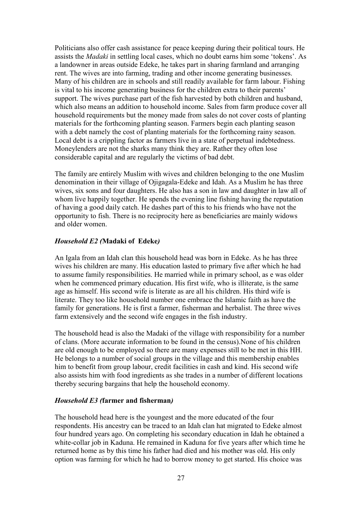Politicians also offer cash assistance for peace keeping during their political tours. He assists the *Madaki* in settling local cases, which no doubt earns him some "tokens". As a landowner in areas outside Edeke, he takes part in sharing farmland and arranging rent. The wives are into farming, trading and other income generating businesses. Many of his children are in schools and still readily available for farm labour. Fishing is vital to his income generating business for the children extra to their parents" support. The wives purchase part of the fish harvested by both children and husband, which also means an addition to household income. Sales from farm produce cover all household requirements but the money made from sales do not cover costs of planting materials for the forthcoming planting season. Farmers begin each planting season with a debt namely the cost of planting materials for the forthcoming rainy season. Local debt is a crippling factor as farmers live in a state of perpetual indebtedness. Moneylenders are not the sharks many think they are. Rather they often lose considerable capital and are regularly the victims of bad debt.

The family are entirely Muslim with wives and children belonging to the one Muslim denomination in their village of Ojigagala-Edeke and Idah. As a Muslim he has three wives, six sons and four daughters. He also has a son in law and daughter in law all of whom live happily together. He spends the evening line fishing having the reputation of having a good daily catch. He dashes part of this to his friends who have not the opportunity to fish. There is no reciprocity here as beneficiaries are mainly widows and older women.

## *Household E2 (***Madaki of Edeke***)*

An Igala from an Idah clan this household head was born in Edeke. As he has three wives his children are many. His education lasted to primary five after which he had to assume family responsibilities. He married while in primary school, as e was older when he commenced primary education. His first wife, who is illiterate, is the same age as himself. His second wife is literate as are all his children. His third wife is literate. They too like household number one embrace the Islamic faith as have the family for generations. He is first a farmer, fisherman and herbalist. The three wives farm extensively and the second wife engages in the fish industry.

The household head is also the Madaki of the village with responsibility for a number of clans. (More accurate information to be found in the census).None of his children are old enough to be employed so there are many expenses still to be met in this HH. He belongs to a number of social groups in the village and this membership enables him to benefit from group labour, credit facilities in cash and kind. His second wife also assists him with food ingredients as she trades in a number of different locations thereby securing bargains that help the household economy.

# *Household E3 (***farmer and fisherman***)*

The household head here is the youngest and the more educated of the four respondents. His ancestry can be traced to an Idah clan hat migrated to Edeke almost four hundred years ago. On completing his secondary education in Idah he obtained a white-collar job in Kaduna. He remained in Kaduna for five years after which time he returned home as by this time his father had died and his mother was old. His only option was farming for which he had to borrow money to get started. His choice was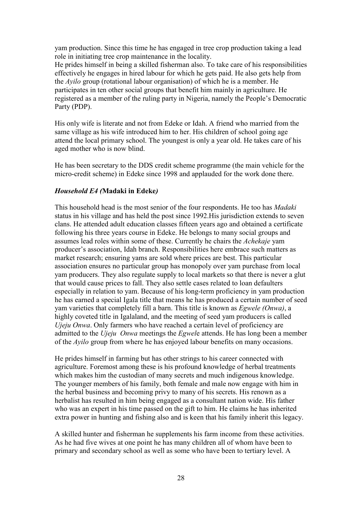yam production. Since this time he has engaged in tree crop production taking a lead role in initiating tree crop maintenance in the locality.

He prides himself in being a skilled fisherman also. To take care of his responsibilities effectively he engages in hired labour for which he gets paid. He also gets help from the *Ayilo* group (rotational labour organisation) of which he is a member. He participates in ten other social groups that benefit him mainly in agriculture. He registered as a member of the ruling party in Nigeria, namely the People"s Democratic Party (PDP).

His only wife is literate and not from Edeke or Idah. A friend who married from the same village as his wife introduced him to her. His children of school going age attend the local primary school. The youngest is only a year old. He takes care of his aged mother who is now blind.

He has been secretary to the DDS credit scheme programme (the main vehicle for the micro-credit scheme) in Edeke since 1998 and applauded for the work done there.

## *Household E4 (***Madaki in Edeke***)*

This household head is the most senior of the four respondents. He too has *Madaki* status in his village and has held the post since 1992.His jurisdiction extends to seven clans. He attended adult education classes fifteen years ago and obtained a certificate following his three years course in Edeke. He belongs to many social groups and assumes lead roles within some of these. Currently he chairs the *Achekaje* yam producer"s association, Idah branch. Responsibilities here embrace such matters as market research; ensuring yams are sold where prices are best. This particular association ensures no particular group has monopoly over yam purchase from local yam producers. They also regulate supply to local markets so that there is never a glut that would cause prices to fall. They also settle cases related to loan defaulters especially in relation to yam. Because of his long-term proficiency in yam production he has earned a special Igala title that means he has produced a certain number of seed yam varieties that completely fill a barn. This title is known as *Egwele (Onwa)*, a highly coveted title in Igalaland, and the meeting of seed yam producers is called *Ujeju Onwa*. Only farmers who have reached a certain level of proficiency are admitted to the *Ujeju Onwa* meetings the *Egwel*e attends. He has long been a member of the *Ayilo* group from where he has enjoyed labour benefits on many occasions.

He prides himself in farming but has other strings to his career connected with agriculture. Foremost among these is his profound knowledge of herbal treatments which makes him the custodian of many secrets and much indigenous knowledge. The younger members of his family, both female and male now engage with him in the herbal business and becoming privy to many of his secrets. His renown as a herbalist has resulted in him being engaged as a consultant nation wide. His father who was an expert in his time passed on the gift to him. He claims he has inherited extra power in hunting and fishing also and is keen that his family inherit this legacy.

A skilled hunter and fisherman he supplements his farm income from these activities. As he had five wives at one point he has many children all of whom have been to primary and secondary school as well as some who have been to tertiary level. A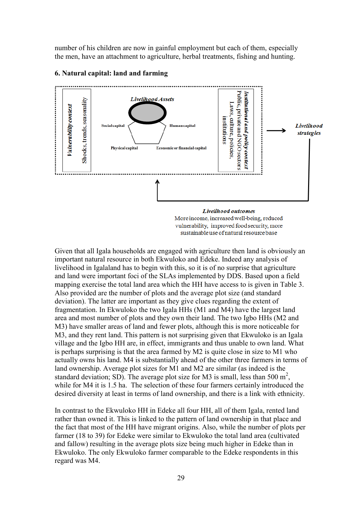number of his children are now in gainful employment but each of them, especially the men, have an attachment to agriculture, herbal treatments, fishing and hunting.



#### **6. Natural capital: land and farming**

More income, increased well-being, reduced vulnerability, improved food security, more sustainable use of natural resource base

Given that all Igala households are engaged with agriculture then land is obviously an important natural resource in both Ekwuloko and Edeke. Indeed any analysis of livelihood in Igalaland has to begin with this, so it is of no surprise that agriculture and land were important foci of the SLAs implemented by DDS. Based upon a field mapping exercise the total land area which the HH have access to is given in Table 3. Also provided are the number of plots and the average plot size (and standard deviation). The latter are important as they give clues regarding the extent of fragmentation. In Ekwuloko the two Igala HHs (M1 and M4) have the largest land area and most number of plots and they own their land. The two Igbo HHs (M2 and M3) have smaller areas of land and fewer plots, although this is more noticeable for M3, and they rent land. This pattern is not surprising given that Ekwuloko is an Igala village and the Igbo HH are, in effect, immigrants and thus unable to own land. What is perhaps surprising is that the area farmed by M2 is quite close in size to M1 who actually owns his land. M4 is substantially ahead of the other three farmers in terms of land ownership. Average plot sizes for M1 and M2 are similar (as indeed is the standard deviation; SD). The average plot size for M3 is small, less than 500  $m^2$ , while for M4 it is 1.5 ha. The selection of these four farmers certainly introduced the desired diversity at least in terms of land ownership, and there is a link with ethnicity.

In contrast to the Ekwuloko HH in Edeke all four HH, all of them Igala, rented land rather than owned it. This is linked to the pattern of land ownership in that place and the fact that most of the HH have migrant origins. Also, while the number of plots per farmer (18 to 39) for Edeke were similar to Ekwuloko the total land area (cultivated and fallow) resulting in the average plots size being much higher in Edeke than in Ekwuloko. The only Ekwuloko farmer comparable to the Edeke respondents in this regard was M4.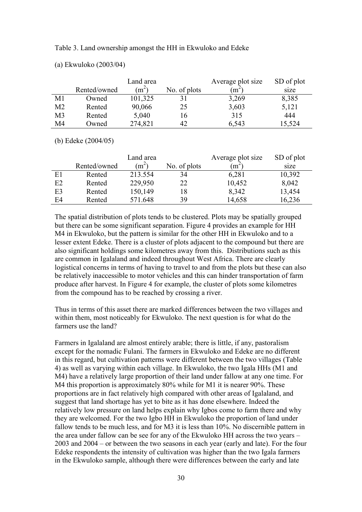Table 3. Land ownership amongst the HH in Ekwuloko and Edeke

|                |              | Land area         |              | Average plot size | SD of plot |
|----------------|--------------|-------------------|--------------|-------------------|------------|
|                | Rented/owned | (m <sup>2</sup> ) | No. of plots | $(m^2)$           | size       |
| M1             | Owned        | 101,325           |              | 3,269             | 8,385      |
| M <sub>2</sub> | Rented       | 90,066            | 25           | 3,603             | 5,121      |
| M <sub>3</sub> | Rented       | 5,040             | 16           | 315               | 444        |
| M4             | Owned        | 274,821           | 42           | 6,543             | 15,524     |

(a) Ekwuloko (2003/04)

(b) Edeke (2004/05)

|                |              | Land area |              | Average plot size | SD of plot |
|----------------|--------------|-----------|--------------|-------------------|------------|
|                | Rented/owned | $(m^2)$   | No. of plots | $(m^2)$           | size       |
| E1             | Rented       | 213.554   | 34           | 6,281             | 10,392     |
| E2             | Rented       | 229,950   | 22           | 10,452            | 8,042      |
| E <sub>3</sub> | Rented       | 150,149   | 18           | 8,342             | 13,454     |
| E4             | Rented       | 571.648   | 39           | 14,658            | 16,236     |

The spatial distribution of plots tends to be clustered. Plots may be spatially grouped but there can be some significant separation. Figure 4 provides an example for HH M4 in Ekwuloko, but the pattern is similar for the other HH in Ekwuloko and to a lesser extent Edeke. There is a cluster of plots adjacent to the compound but there are also significant holdings some kilometres away from this. Distributions such as this are common in Igalaland and indeed throughout West Africa. There are clearly logistical concerns in terms of having to travel to and from the plots but these can also be relatively inaccessible to motor vehicles and this can hinder transportation of farm produce after harvest. In Figure 4 for example, the cluster of plots some kilometres from the compound has to be reached by crossing a river.

Thus in terms of this asset there are marked differences between the two villages and within them, most noticeably for Ekwuloko. The next question is for what do the farmers use the land?

Farmers in Igalaland are almost entirely arable; there is little, if any, pastoralism except for the nomadic Fulani. The farmers in Ekwuloko and Edeke are no different in this regard, but cultivation patterns were different between the two villages (Table 4) as well as varying within each village. In Ekwuloko, the two Igala HHs (M1 and M4) have a relatively large proportion of their land under fallow at any one time. For M4 this proportion is approximately 80% while for M1 it is nearer 90%. These proportions are in fact relatively high compared with other areas of Igalaland, and suggest that land shortage has yet to bite as it has done elsewhere. Indeed the relatively low pressure on land helps explain why Igbos come to farm there and why they are welcomed. For the two Igbo HH in Ekwuloko the proportion of land under fallow tends to be much less, and for M3 it is less than 10%. No discernible pattern in the area under fallow can be see for any of the Ekwuloko HH across the two years – 2003 and 2004 – or between the two seasons in each year (early and late). For the four Edeke respondents the intensity of cultivation was higher than the two Igala farmers in the Ekwuloko sample, although there were differences between the early and late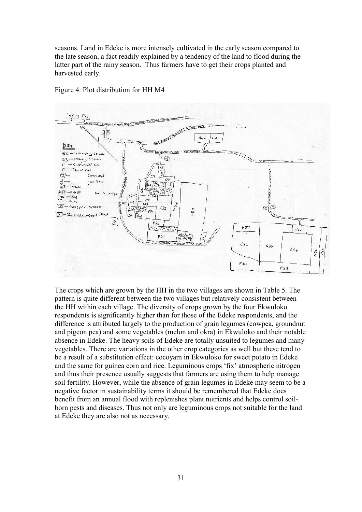seasons. Land in Edeke is more intensely cultivated in the early season compared to the late season, a fact readily explained by a tendency of the land to flood during the latter part of the rainy season. Thus farmers have to get their crops planted and harvested early.



Figure 4. Plot distribution for HH M4

The crops which are grown by the HH in the two villages are shown in Table 5. The pattern is quite different between the two villages but relatively consistent between the HH within each village. The diversity of crops grown by the four Ekwuloko respondents is significantly higher than for those of the Edeke respondents, and the difference is attributed largely to the production of grain legumes (cowpea, groundnut and pigeon pea) and some vegetables (melon and okra) in Ekwuloko and their notable absence in Edeke. The heavy soils of Edeke are totally unsuited to legumes and many vegetables. There are variations in the other crop categories as well but these tend to be a result of a substitution effect: cocoyam in Ekwuloko for sweet potato in Edeke and the same for guinea corn and rice. Leguminous crops 'fix' atmospheric nitrogen and thus their presence usually suggests that farmers are using them to help manage soil fertility. However, while the absence of grain legumes in Edeke may seem to be a negative factor in sustainability terms it should be remembered that Edeke does benefit from an annual flood with replenishes plant nutrients and helps control soilborn pests and diseases. Thus not only are leguminous crops not suitable for the land at Edeke they are also not as necessary.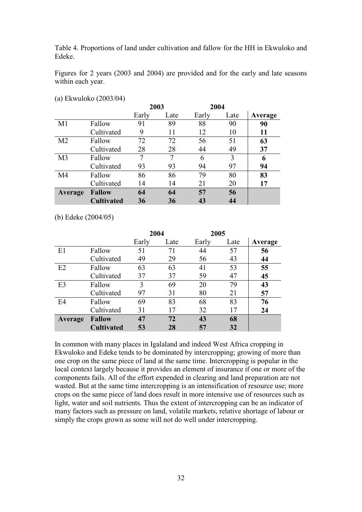Table 4. Proportions of land under cultivation and fallow for the HH in Ekwuloko and Edeke.

Figures for 2 years (2003 and 2004) are provided and for the early and late seasons within each year.

|                |                   | 2003  |      | 2004  |      |         |
|----------------|-------------------|-------|------|-------|------|---------|
|                |                   | Early | Late | Early | Late | Average |
| M1             | Fallow            | 91    | 89   | 88    | 90   | 90      |
|                | Cultivated        | 9     | 11   | 12    | 10   | 11      |
| M <sub>2</sub> | Fallow            | 72    | 72   | 56    | 51   | 63      |
|                | Cultivated        | 28    | 28   | 44    | 49   | 37      |
| M <sub>3</sub> | Fallow            | 7     | 7    | 6     | 3    | 6       |
|                | Cultivated        | 93    | 93   | 94    | 97   | 94      |
| M4             | Fallow            | 86    | 86   | 79    | 80   | 83      |
|                | Cultivated        | 14    | 14   | 21    | 20   | 17      |
| Average        | <b>Fallow</b>     | 64    | 64   | 57    | 56   |         |
|                | <b>Cultivated</b> | 36    | 36   | 43    | 44   |         |

(a) Ekwuloko (2003/04)

(b) Edeke (2004/05)

|         |                   | 2004  |      | 2005  |      |         |
|---------|-------------------|-------|------|-------|------|---------|
|         |                   | Early | Late | Early | Late | Average |
| E1      | Fallow            | 51    | 71   | 44    | 57   | 56      |
|         | Cultivated        | 49    | 29   | 56    | 43   | 44      |
| E2      | Fallow            | 63    | 63   | 41    | 53   | 55      |
|         | Cultivated        | 37    | 37   | 59    | 47   | 45      |
| E3      | Fallow            | 3     | 69   | 20    | 79   | 43      |
|         | Cultivated        | 97    | 31   | 80    | 21   | 57      |
| E4      | Fallow            | 69    | 83   | 68    | 83   | 76      |
|         | Cultivated        | 31    | 17   | 32    | 17   | 24      |
| Average | <b>Fallow</b>     | 47    | 72   | 43    | 68   |         |
|         | <b>Cultivated</b> | 53    | 28   | 57    | 32   |         |

In common with many places in Igalaland and indeed West Africa cropping in Ekwuloko and Edeke tends to be dominated by intercropping; growing of more than one crop on the same piece of land at the same time. Intercropping is popular in the local context largely because it provides an element of insurance if one or more of the components fails. All of the effort expended in clearing and land preparation are not wasted. But at the same time intercropping is an intensification of resource use; more crops on the same piece of land does result in more intensive use of resources such as light, water and soil nutrients. Thus the extent of intercropping can be an indicator of many factors such as pressure on land, volatile markets, relative shortage of labour or simply the crops grown as some will not do well under intercropping.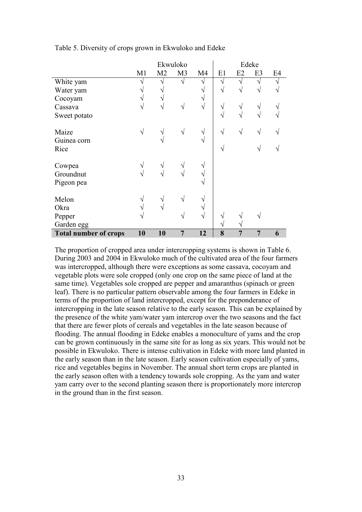|                              |               |                | Ekwuloko       |            |    |            | Edeke          |                |
|------------------------------|---------------|----------------|----------------|------------|----|------------|----------------|----------------|
|                              | M1            | M <sub>2</sub> | M <sub>3</sub> | M4         | E1 | E2         | E <sub>3</sub> | E <sub>4</sub> |
| White yam                    |               | ٦              | ٦              |            | N  | N          | ٦              |                |
| Water yam                    |               |                |                |            | V  | $\sqrt{ }$ | V              |                |
| Cocoyam                      | V             |                |                |            |    |            |                |                |
| Cassava                      | V             | N              | V              | $\sqrt{ }$ | V  | V          | V              |                |
| Sweet potato                 |               |                |                |            | V  | $\sqrt{ }$ | $\mathcal{N}$  |                |
| Maize                        | V             | ٦              | $\sqrt{}$      | $\sqrt{}$  | V  | N          | $\sqrt{ }$     |                |
| Guinea corn                  |               |                |                | N          |    |            |                |                |
| Rice                         |               |                |                |            |    |            |                |                |
|                              |               |                |                |            |    |            |                |                |
| Cowpea                       | V             | V              |                |            |    |            |                |                |
| Groundnut                    | ٦             |                |                |            |    |            |                |                |
| Pigeon pea                   |               |                |                |            |    |            |                |                |
|                              |               |                |                |            |    |            |                |                |
| Melon                        | V             |                | V              |            |    |            |                |                |
| Okra                         | $\mathcal{N}$ | ٦              |                |            |    |            |                |                |
| Pepper                       |               |                |                | V          |    |            |                |                |
| Garden egg                   |               |                |                |            |    |            |                |                |
| <b>Total number of crops</b> | 10            | 10             | 7              | 12         | 8  | 7          | $\overline{7}$ | 6              |

Table 5. Diversity of crops grown in Ekwuloko and Edeke

The proportion of cropped area under intercropping systems is shown in Table 6. During 2003 and 2004 in Ekwuloko much of the cultivated area of the four farmers was intercropped, although there were exceptions as some cassava, cocoyam and vegetable plots were sole cropped (only one crop on the same piece of land at the same time). Vegetables sole cropped are pepper and amaranthus (spinach or green leaf). There is no particular pattern observable among the four farmers in Edeke in terms of the proportion of land intercropped, except for the preponderance of intercropping in the late season relative to the early season. This can be explained by the presence of the white yam/water yam intercrop over the two seasons and the fact that there are fewer plots of cereals and vegetables in the late season because of flooding. The annual flooding in Edeke enables a monoculture of yams and the crop can be grown continuously in the same site for as long as six years. This would not be possible in Ekwuloko. There is intense cultivation in Edeke with more land planted in the early season than in the late season. Early season cultivation especially of yams, rice and vegetables begins in November. The annual short term crops are planted in the early season often with a tendency towards sole cropping. As the yam and water yam carry over to the second planting season there is proportionately more intercrop in the ground than in the first season.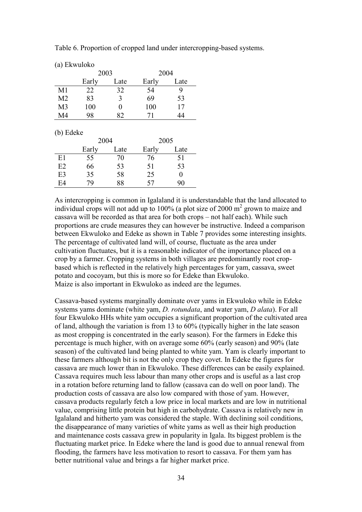|  |  | Table 6. Proportion of cropped land under intercropping-based systems. |
|--|--|------------------------------------------------------------------------|
|  |  |                                                                        |
|  |  |                                                                        |

| (a) Ekwuloko |  |
|--------------|--|
|--------------|--|

|    | 2003  |      | 2004  |      |  |
|----|-------|------|-------|------|--|
|    | Early | Late | Early | Late |  |
| M1 | 22    | 32   | 54    |      |  |
| M2 | 83    | 3    | 69    | 53   |  |
| M3 | 100   | 0    | 100   | 17   |  |
| M4 | 98    | 82   | 71    | 44   |  |

(b) Edeke

|    | 2004  |      | 2005  |      |  |
|----|-------|------|-------|------|--|
|    | Early | Late | Early | Late |  |
| E1 | 55    | 70   | 76    | 51   |  |
| E2 | 66    | 53   | 51    | 53   |  |
| E3 | 35    | 58   | 25    | O    |  |
| F4 | 79    | 88   | 57    | 90   |  |

As intercropping is common in Igalaland it is understandable that the land allocated to individual crops will not add up to  $100\%$  (a plot size of 2000 m<sup>2</sup> grown to maize and cassava will be recorded as that area for both crops – not half each). While such proportions are crude measures they can however be instructive. Indeed a comparison between Ekwuloko and Edeke as shown in Table 7 provides some interesting insights. The percentage of cultivated land will, of course, fluctuate as the area under cultivation fluctuates, but it is a reasonable indicator of the importance placed on a crop by a farmer. Cropping systems in both villages are predominantly root cropbased which is reflected in the relatively high percentages for yam, cassava, sweet potato and cocoyam, but this is more so for Edeke than Ekwuloko. Maize is also important in Ekwuloko as indeed are the legumes.

Cassava-based systems marginally dominate over yams in Ekwuloko while in Edeke systems yams dominate (white yam, *D. rotundata*, and water yam, *D alata*). For all four Ekwuloko HHs white yam occupies a significant proportion of the cultivated area of land, although the variation is from 13 to 60% (typically higher in the late season as most cropping is concentrated in the early season). For the farmers in Edeke this percentage is much higher, with on average some 60% (early season) and 90% (late season) of the cultivated land being planted to white yam. Yam is clearly important to these farmers although bit is not the only crop they covet. In Edeke the figures for cassava are much lower than in Ekwuloko. These differences can be easily explained. Cassava requires much less labour than many other crops and is useful as a last crop in a rotation before returning land to fallow (cassava can do well on poor land). The production costs of cassava are also low compared with those of yam. However, cassava products regularly fetch a low price in local markets and are low in nutritional value, comprising little protein but high in carbohydrate. Cassava is relatively new in Igalaland and hitherto yam was considered the staple. With declining soil conditions, the disappearance of many varieties of white yams as well as their high production and maintenance costs cassava grew in popularity in Igala. Its biggest problem is the fluctuating market price. In Edeke where the land is good due to annual renewal from flooding, the farmers have less motivation to resort to cassava. For them yam has better nutritional value and brings a far higher market price.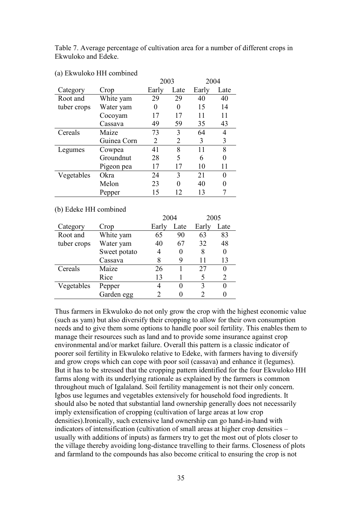Table 7. Average percentage of cultivation area for a number of different crops in Ekwuloko and Edeke.

|             |             | 2003  |      | 2004  |      |
|-------------|-------------|-------|------|-------|------|
| Category    | Crop        | Early | Late | Early | Late |
| Root and    | White yam   | 29    | 29   | 40    | 40   |
| tuber crops | Water yam   | 0     | 0    | 15    | 14   |
|             | Cocoyam     | 17    | 17   | 11    | 11   |
|             | Cassava     | 49    | 59   | 35    | 43   |
| Cereals     | Maize       | 73    | 3    | 64    | 4    |
|             | Guinea Corn | 2     | 2    | 3     | 3    |
| Legumes     | Cowpea      | 41    | 8    | 11    | 8    |
|             | Groundnut   | 28    | 5    | 6     | 0    |
|             | Pigeon pea  | 17    | 17   | 10    | 11   |
| Vegetables  | Okra        | 24    | 3    | 21    | 0    |
|             | Melon       | 23    | 0    | 40    | 0    |
|             | Pepper      | 15    | 12   | 13    |      |

#### (a) Ekwuloko HH combined

#### (b) Edeke HH combined

|             |              | 2004  |      | 2005  |      |
|-------------|--------------|-------|------|-------|------|
| Category    | Crop         | Early | Late | Early | Late |
| Root and    | White yam    | 65    | 90   | 63    | 83   |
| tuber crops | Water yam    | 40    | 67   | 32    | 48   |
|             | Sweet potato | 4     |      | 8     | 0    |
|             | Cassava      | 8     | 9    | 11    | 13   |
| Cereals     | Maize        | 26    |      | 27    | 0    |
|             | Rice         | 13    |      |       | 2    |
| Vegetables  | Pepper       |       |      | 3     |      |
|             | Garden egg   |       |      |       |      |
|             |              |       |      |       |      |

Thus farmers in Ekwuloko do not only grow the crop with the highest economic value (such as yam) but also diversify their cropping to allow for their own consumption needs and to give them some options to handle poor soil fertility. This enables them to manage their resources such as land and to provide some insurance against crop environmental and/or market failure. Overall this pattern is a classic indicator of poorer soil fertility in Ekwuloko relative to Edeke, with farmers having to diversify and grow crops which can cope with poor soil (cassava) and enhance it (legumes). But it has to be stressed that the cropping pattern identified for the four Ekwuloko HH farms along with its underlying rationale as explained by the farmers is common throughout much of Igalaland. Soil fertility management is not their only concern. Igbos use legumes and vegetables extensively for household food ingredients. It should also be noted that substantial land ownership generally does not necessarily imply extensification of cropping (cultivation of large areas at low crop densities).Ironically, such extensive land ownership can go hand-in-hand with indicators of intensification (cultivation of small areas at higher crop densities – usually with additions of inputs) as farmers try to get the most out of plots closer to the village thereby avoiding long-distance travelling to their farms. Closeness of plots and farmland to the compounds has also become critical to ensuring the crop is not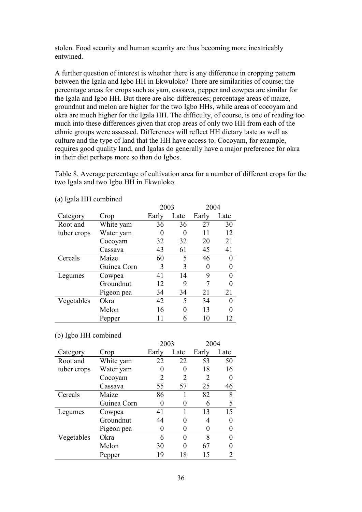stolen. Food security and human security are thus becoming more inextricably entwined.

A further question of interest is whether there is any difference in cropping pattern between the Igala and Igbo HH in Ekwuloko? There are similarities of course; the percentage areas for crops such as yam, cassava, pepper and cowpea are similar for the Igala and Igbo HH. But there are also differences; percentage areas of maize, groundnut and melon are higher for the two Igbo HHs, while areas of cocoyam and okra are much higher for the Igala HH. The difficulty, of course, is one of reading too much into these differences given that crop areas of only two HH from each of the ethnic groups were assessed. Differences will reflect HH dietary taste as well as culture and the type of land that the HH have access to. Cocoyam, for example, requires good quality land, and Igalas do generally have a major preference for okra in their diet perhaps more so than do Igbos.

Table 8. Average percentage of cultivation area for a number of different crops for the two Igala and two Igbo HH in Ekwuloko.

|             |             |       | 2003 |       | 2004 |
|-------------|-------------|-------|------|-------|------|
| Category    | Crop        | Early | Late | Early | Late |
| Root and    | White yam   | 36    | 36   | 27    | 30   |
| tuber crops | Water yam   | 0     | 0    | 11    | 12   |
|             | Cocoyam     | 32    | 32   | 20    | 21   |
|             | Cassava     | 43    | 61   | 45    | 41   |
| Cereals     | Maize       | 60    | 5    | 46    | 0    |
|             | Guinea Corn | 3     | 3    | 0     |      |
| Legumes     | Cowpea      | 41    | 14   | 9     |      |
|             | Groundnut   | 12    | 9    |       |      |
|             | Pigeon pea  | 34    | 34   | 21    | 21   |
| Vegetables  | Okra        | 42    | 5    | 34    |      |
|             | Melon       | 16    | 0    | 13    |      |
|             | Pepper      |       | 6    | 10    | 12   |

(a) Igala HH combined

(b) Igbo HH combined

|             |             |       | 2003     |       | 2004 |
|-------------|-------------|-------|----------|-------|------|
| Category    | Crop        | Early | Late     | Early | Late |
| Root and    | White yam   | 22    | 22       | 53    | 50   |
| tuber crops | Water yam   | 0     | $\Omega$ | 18    | 16   |
|             | Cocoyam     | 2     | 2        | 2     |      |
|             | Cassava     | 55    | 57       | 25    | 46   |
| Cereals     | Maize       | 86    |          | 82    | 8    |
|             | Guinea Corn | 0     |          | 6     | 5    |
| Legumes     | Cowpea      | 41    |          | 13    | 15   |
|             | Groundnut   | 44    | 0        |       |      |
|             | Pigeon pea  | 0     |          |       |      |
| Vegetables  | Okra        | 6     | $\Omega$ | 8     |      |
|             | Melon       | 30    | 0        | 67    |      |
|             | Pepper      | 19    | 18       | 15    |      |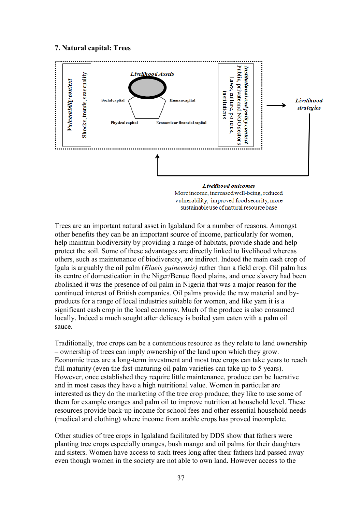#### **7. Natural capital: Trees**



vulnerability, improved food security, more sustainable use of natural resource base

Trees are an important natural asset in Igalaland for a number of reasons. Amongst other benefits they can be an important source of income, particularly for women, help maintain biodiversity by providing a range of habitats, provide shade and help protect the soil. Some of these advantages are directly linked to livelihood whereas others, such as maintenance of biodiversity, are indirect. Indeed the main cash crop of Igala is arguably the oil palm (*Elaeis guineensis)* rather than a field crop*.* Oil palm has its centre of domestication in the Niger/Benue flood plains, and once slavery had been abolished it was the presence of oil palm in Nigeria that was a major reason for the continued interest of British companies. Oil palms provide the raw material and byproducts for a range of local industries suitable for women, and like yam it is a significant cash crop in the local economy. Much of the produce is also consumed locally. Indeed a much sought after delicacy is boiled yam eaten with a palm oil sauce.

Traditionally, tree crops can be a contentious resource as they relate to land ownership – ownership of trees can imply ownership of the land upon which they grow. Economic trees are a long-term investment and most tree crops can take years to reach full maturity (even the fast-maturing oil palm varieties can take up to 5 years). However, once established they require little maintenance, produce can be lucrative and in most cases they have a high nutritional value. Women in particular are interested as they do the marketing of the tree crop produce; they like to use some of them for example oranges and palm oil to improve nutrition at household level. These resources provide back-up income for school fees and other essential household needs (medical and clothing) where income from arable crops has proved incomplete.

Other studies of tree crops in Igalaland facilitated by DDS show that fathers were planting tree crops especially oranges, bush mango and oil palms for their daughters and sisters. Women have access to such trees long after their fathers had passed away even though women in the society are not able to own land. However access to the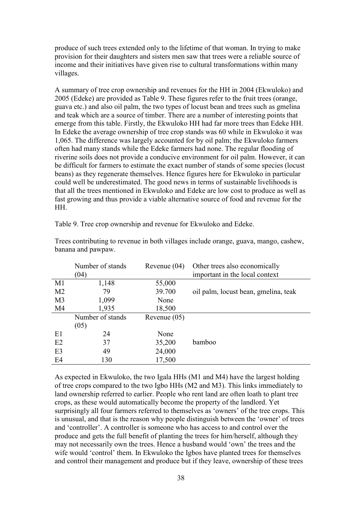produce of such trees extended only to the lifetime of that woman. In trying to make provision for their daughters and sisters men saw that trees were a reliable source of income and their initiatives have given rise to cultural transformations within many villages.

A summary of tree crop ownership and revenues for the HH in 2004 (Ekwuloko) and 2005 (Edeke) are provided as Table 9. These figures refer to the fruit trees (orange, guava etc.) and also oil palm, the two types of locust bean and trees such as gmelina and teak which are a source of timber. There are a number of interesting points that emerge from this table. Firstly, the Ekwuloko HH had far more trees than Edeke HH. In Edeke the average ownership of tree crop stands was 60 while in Ekwuloko it was 1,065. The difference was largely accounted for by oil palm; the Ekwuloko farmers often had many stands while the Edeke farmers had none. The regular flooding of riverine soils does not provide a conducive environment for oil palm. However, it can be difficult for farmers to estimate the exact number of stands of some species (locust beans) as they regenerate themselves. Hence figures here for Ekwuloko in particular could well be underestimated. The good news in terms of sustainable livelihoods is that all the trees mentioned in Ekwuloko and Edeke are low cost to produce as well as fast growing and thus provide a viable alternative source of food and revenue for the HH.

|                | Number of stands | Revenue $(04)$ | Other trees also economically        |
|----------------|------------------|----------------|--------------------------------------|
|                | (04)             |                | important in the local context       |
| M1             | 1,148            | 55,000         |                                      |
| M <sub>2</sub> | 79               | 39.700         | oil palm, locust bean, gmelina, teak |
| M <sub>3</sub> | 1,099            | None           |                                      |
| M4             | 1,935            | 18,500         |                                      |
|                | Number of stands | Revenue $(05)$ |                                      |
|                | (05)             |                |                                      |
| E1             | 24               | None           |                                      |
| E2             | 37               | 35,200         | bamboo                               |
| E <sub>3</sub> | 49               | 24,000         |                                      |
| E4             | 130              | 17,500         |                                      |

Trees contributing to revenue in both villages include orange, guava, mango, cashew,

Table 9. Tree crop ownership and revenue for Ekwuloko and Edeke.

banana and pawpaw.

As expected in Ekwuloko, the two Igala HHs (M1 and M4) have the largest holding of tree crops compared to the two Igbo HHs (M2 and M3). This links immediately to land ownership referred to earlier. People who rent land are often loath to plant tree crops, as these would automatically become the property of the landlord. Yet surprisingly all four farmers referred to themselves as 'owners' of the tree crops. This is unusual, and that is the reason why people distinguish between the "owner" of trees and "controller". A controller is someone who has access to and control over the produce and gets the full benefit of planting the trees for him/herself, although they may not necessarily own the trees. Hence a husband would "own" the trees and the wife would 'control' them. In Ekwuloko the Igbos have planted trees for themselves and control their management and produce but if they leave, ownership of these trees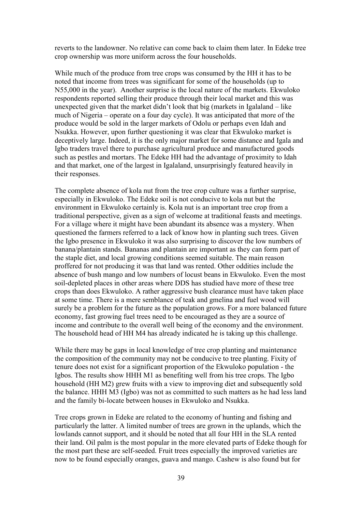reverts to the landowner. No relative can come back to claim them later. In Edeke tree crop ownership was more uniform across the four households.

While much of the produce from tree crops was consumed by the HH it has to be noted that income from trees was significant for some of the households (up to N55,000 in the year). Another surprise is the local nature of the markets. Ekwuloko respondents reported selling their produce through their local market and this was unexpected given that the market didn"t look that big (markets in Igalaland – like much of Nigeria – operate on a four day cycle). It was anticipated that more of the produce would be sold in the larger markets of Odolu or perhaps even Idah and Nsukka. However, upon further questioning it was clear that Ekwuloko market is deceptively large. Indeed, it is the only major market for some distance and Igala and Igbo traders travel there to purchase agricultural produce and manufactured goods such as pestles and mortars. The Edeke HH had the advantage of proximity to Idah and that market, one of the largest in Igalaland, unsurprisingly featured heavily in their responses.

The complete absence of kola nut from the tree crop culture was a further surprise, especially in Ekwuloko. The Edeke soil is not conducive to kola nut but the environment in Ekwuloko certainly is. Kola nut is an important tree crop from a traditional perspective, given as a sign of welcome at traditional feasts and meetings. For a village where it might have been abundant its absence was a mystery. When questioned the farmers referred to a lack of know how in planting such trees. Given the Igbo presence in Ekwuloko it was also surprising to discover the low numbers of banana/plantain stands. Bananas and plantain are important as they can form part of the staple diet, and local growing conditions seemed suitable. The main reason proffered for not producing it was that land was rented. Other oddities include the absence of bush mango and low numbers of locust beans in Ekwuloko. Even the most soil-depleted places in other areas where DDS has studied have more of these tree crops than does Ekwuloko. A rather aggressive bush clearance must have taken place at some time. There is a mere semblance of teak and gmelina and fuel wood will surely be a problem for the future as the population grows. For a more balanced future economy, fast growing fuel trees need to be encouraged as they are a source of income and contribute to the overall well being of the economy and the environment. The household head of HH M4 has already indicated he is taking up this challenge.

While there may be gaps in local knowledge of tree crop planting and maintenance the composition of the community may not be conducive to tree planting. Fixity of tenure does not exist for a significant proportion of the Ekwuloko population - the Igbos. The results show HHH M1 as benefiting well from his tree crops. The Igbo household (HH M2) grew fruits with a view to improving diet and subsequently sold the balance. HHH M3 (Igbo) was not as committed to such matters as he had less land and the family bi-locate between houses in Ekwuloko and Nsukka.

Tree crops grown in Edeke are related to the economy of hunting and fishing and particularly the latter. A limited number of trees are grown in the uplands, which the lowlands cannot support, and it should be noted that all four HH in the SLA rented their land. Oil palm is the most popular in the more elevated parts of Edeke though for the most part these are self-seeded. Fruit trees especially the improved varieties are now to be found especially oranges, guava and mango. Cashew is also found but for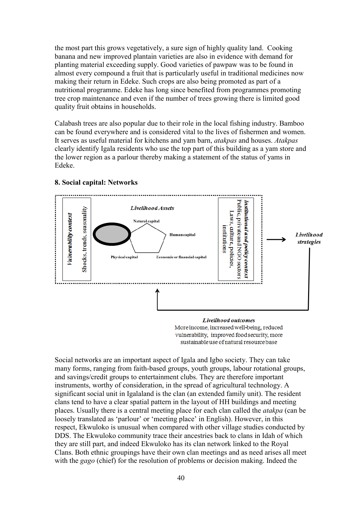the most part this grows vegetatively, a sure sign of highly quality land. Cooking banana and new improved plantain varieties are also in evidence with demand for planting material exceeding supply. Good varieties of pawpaw was to be found in almost every compound a fruit that is particularly useful in traditional medicines now making their return in Edeke. Such crops are also being promoted as part of a nutritional programme. Edeke has long since benefited from programmes promoting tree crop maintenance and even if the number of trees growing there is limited good quality fruit obtains in households.

Calabash trees are also popular due to their role in the local fishing industry. Bamboo can be found everywhere and is considered vital to the lives of fishermen and women. It serves as useful material for kitchens and yam barn, *atakpas* and houses. *Atakpas* clearly identify Igala residents who use the top part of this building as a yam store and the lower region as a parlour thereby making a statement of the status of yams in Edeke.



#### **8. Social capital: Networks**

More income, increased well-being, reduced vulnerability, improved food security, more sustainable use of natural resource base

Social networks are an important aspect of Igala and Igbo society. They can take many forms, ranging from faith-based groups, youth groups, labour rotational groups, and savings/credit groups to entertainment clubs. They are therefore important instruments, worthy of consideration, in the spread of agricultural technology. A significant social unit in Igalaland is the clan (an extended family unit). The resident clans tend to have a clear spatial pattern in the layout of HH buildings and meeting places. Usually there is a central meeting place for each clan called the *atakpa* (can be loosely translated as 'parlour' or 'meeting place' in English). However, in this respect, Ekwuloko is unusual when compared with other village studies conducted by DDS. The Ekwuloko community trace their ancestries back to clans in Idah of which they are still part, and indeed Ekwuloko has its clan network linked to the Royal Clans. Both ethnic groupings have their own clan meetings and as need arises all meet with the *gago* (chief) for the resolution of problems or decision making. Indeed the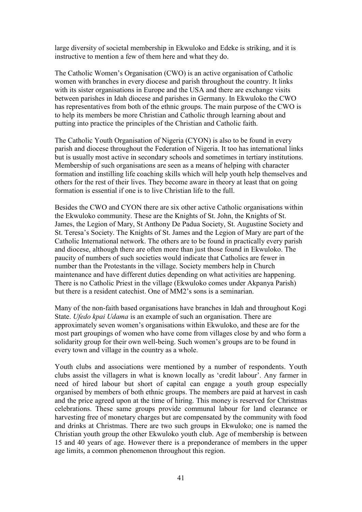large diversity of societal membership in Ekwuloko and Edeke is striking, and it is instructive to mention a few of them here and what they do.

The Catholic Women"s Organisation (CWO) is an active organisation of Catholic women with branches in every diocese and parish throughout the country. It links with its sister organisations in Europe and the USA and there are exchange visits between parishes in Idah diocese and parishes in Germany. In Ekwuloko the CWO has representatives from both of the ethnic groups. The main purpose of the CWO is to help its members be more Christian and Catholic through learning about and putting into practice the principles of the Christian and Catholic faith.

The Catholic Youth Organisation of Nigeria (CYON) is also to be found in every parish and diocese throughout the Federation of Nigeria. It too has international links but is usually most active in secondary schools and sometimes in tertiary institutions. Membership of such organisations are seen as a means of helping with character formation and instilling life coaching skills which will help youth help themselves and others for the rest of their lives. They become aware in theory at least that on going formation is essential if one is to live Christian life to the full.

Besides the CWO and CYON there are six other active Catholic organisations within the Ekwuloko community. These are the Knights of St. John, the Knights of St. James, the Legion of Mary, St Anthony De Padua Society, St. Augustine Society and St. Teresa"s Society. The Knights of St. James and the Legion of Mary are part of the Catholic International network. The others are to be found in practically every parish and diocese, although there are often more than just those found in Ekwuloko. The paucity of numbers of such societies would indicate that Catholics are fewer in number than the Protestants in the village. Society members help in Church maintenance and have different duties depending on what activities are happening. There is no Catholic Priest in the village (Ekwuloko comes under Akpanya Parish) but there is a resident catechist. One of MM2"s sons is a seminarian.

Many of the non-faith based organisations have branches in Idah and throughout Kogi State. *Ufedo kpai Udama* is an example of such an organisation. There are approximately seven women"s organisations within Ekwuloko, and these are for the most part groupings of women who have come from villages close by and who form a solidarity group for their own well-being. Such women"s groups are to be found in every town and village in the country as a whole.

Youth clubs and associations were mentioned by a number of respondents. Youth clubs assist the villagers in what is known locally as "credit labour". Any farmer in need of hired labour but short of capital can engage a youth group especially organised by members of both ethnic groups. The members are paid at harvest in cash and the price agreed upon at the time of hiring. This money is reserved for Christmas celebrations. These same groups provide communal labour for land clearance or harvesting free of monetary charges but are compensated by the community with food and drinks at Christmas. There are two such groups in Ekwuloko; one is named the Christian youth group the other Ekwuloko youth club. Age of membership is between 15 and 40 years of age. However there is a preponderance of members in the upper age limits, a common phenomenon throughout this region.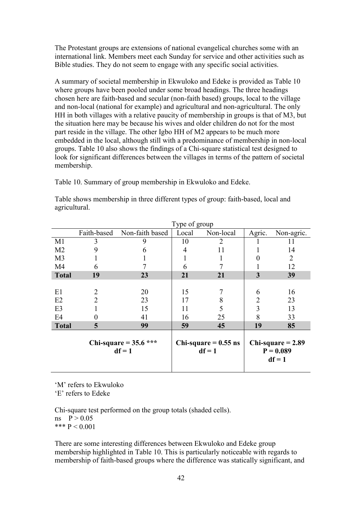The Protestant groups are extensions of national evangelical churches some with an international link. Members meet each Sunday for service and other activities such as Bible studies. They do not seem to engage with any specific social activities.

A summary of societal membership in Ekwuloko and Edeke is provided as Table 10 where groups have been pooled under some broad headings. The three headings chosen here are faith-based and secular (non-faith based) groups, local to the village and non-local (national for example) and agricultural and non-agricultural. The only HH in both villages with a relative paucity of membership in groups is that of M3, but the situation here may be because his wives and older children do not for the most part reside in the village. The other Igbo HH of M2 appears to be much more embedded in the local, although still with a predominance of membership in non-local groups. Table 10 also shows the findings of a Chi-square statistical test designed to look for significant differences between the villages in terms of the pattern of societal membership.

Table 10. Summary of group membership in Ekwuloko and Edeke.

|                | Type of group                       |                 |                                    |           |                |                                                |
|----------------|-------------------------------------|-----------------|------------------------------------|-----------|----------------|------------------------------------------------|
|                | Faith-based                         | Non-faith based | Local                              | Non-local | Agric.         | Non-agric.                                     |
| M1             | 3                                   | 9               | 10                                 | 2         |                | 11                                             |
| M <sub>2</sub> | 9                                   | 6               | 4                                  | 11        |                | 14                                             |
| M <sub>3</sub> |                                     |                 |                                    |           |                | 2                                              |
| M <sub>4</sub> | 6                                   |                 | 6                                  |           |                | 12                                             |
| <b>Total</b>   | 19                                  | 23              | 21                                 | 21        | 3              | 39                                             |
|                |                                     |                 |                                    |           |                |                                                |
| E1             | 2                                   | 20              | 15                                 |           | 6              | 16                                             |
| E2             | $\overline{2}$                      | 23              | 17                                 | 8         | $\overline{2}$ | 23                                             |
| E <sub>3</sub> |                                     | 15              | 11                                 | 5         | 3              | 13                                             |
| E <sub>4</sub> |                                     | 41              | 16                                 | 25        | 8              | 33                                             |
| <b>Total</b>   | 5                                   | 99              | 59                                 | 45        | 19             | 85                                             |
|                | Chi-square = $35.6$ ***<br>$df = 1$ |                 | Chi-square $= 0.55$ ns<br>$df = 1$ |           |                | Chi-square $= 2.89$<br>$P = 0.089$<br>$df = 1$ |

Table shows membership in three different types of group: faith-based, local and agricultural.

"M" refers to Ekwuloko

'E' refers to Edeke

Chi-square test performed on the group totals (shaded cells).  $ns \quad P > 0.05$ \*\*\*  $P < 0.001$ 

There are some interesting differences between Ekwuloko and Edeke group membership highlighted in Table 10. This is particularly noticeable with regards to membership of faith-based groups where the difference was statically significant, and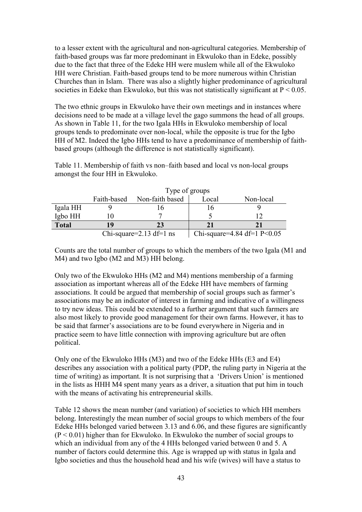to a lesser extent with the agricultural and non-agricultural categories. Membership of faith-based groups was far more predominant in Ekwuloko than in Edeke, possibly due to the fact that three of the Edeke HH were muslem while all of the Ekwuloko HH were Christian. Faith-based groups tend to be more numerous within Christian Churches than in Islam. There was also a slightly higher predominance of agricultural societies in Edeke than Ekwuloko, but this was not statistically significant at  $P < 0.05$ .

The two ethnic groups in Ekwuloko have their own meetings and in instances where decisions need to be made at a village level the gago summons the head of all groups. As shown in Table 11, for the two Igala HHs in Ekwuloko membership of local groups tends to predominate over non-local, while the opposite is true for the Igbo HH of M2. Indeed the Igbo HHs tend to have a predominance of membership of faithbased groups (although the difference is not statistically significant).

Table 11. Membership of faith vs non–faith based and local vs non-local groups amongst the four HH in Ekwuloko.

|              | Type of groups |                         |       |                               |  |
|--------------|----------------|-------------------------|-------|-------------------------------|--|
|              | Faith-based    | Non-faith based         | Local | Non-local                     |  |
| Igala HH     |                |                         | 16    |                               |  |
| Igbo HH      |                |                         |       |                               |  |
| <b>Total</b> | 19             | 23                      | 21    |                               |  |
|              |                | Chi-square=2.13 df=1 ns |       | Chi-square=4.84 df=1 $P<0.05$ |  |

Counts are the total number of groups to which the members of the two Igala (M1 and M4) and two Igbo (M2 and M3) HH belong.

Only two of the Ekwuloko HHs (M2 and M4) mentions membership of a farming association as important whereas all of the Edeke HH have members of farming associations. It could be argued that membership of social groups such as farmer"s associations may be an indicator of interest in farming and indicative of a willingness to try new ideas. This could be extended to a further argument that such farmers are also most likely to provide good management for their own farms. However, it has to be said that farmer"s associations are to be found everywhere in Nigeria and in practice seem to have little connection with improving agriculture but are often political.

Only one of the Ekwuloko HHs (M3) and two of the Edeke HHs (E3 and E4) describes any association with a political party (PDP, the ruling party in Nigeria at the time of writing) as important. It is not surprising that a "Drivers Union" is mentioned in the lists as HHH M4 spent many years as a driver, a situation that put him in touch with the means of activating his entrepreneurial skills.

Table 12 shows the mean number (and variation) of societies to which HH members belong. Interestingly the mean number of social groups to which members of the four Edeke HHs belonged varied between 3.13 and 6.06, and these figures are significantly  $(P < 0.01)$  higher than for Ekwuloko. In Ekwuloko the number of social groups to which an individual from any of the 4 HHs belonged varied between 0 and 5. A number of factors could determine this. Age is wrapped up with status in Igala and Igbo societies and thus the household head and his wife (wives) will have a status to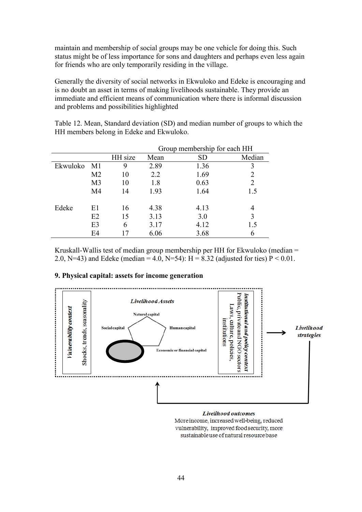maintain and membership of social groups may be one vehicle for doing this. Such status might be of less importance for sons and daughters and perhaps even less again for friends who are only temporarily residing in the village.

Generally the diversity of social networks in Ekwuloko and Edeke is encouraging and is no doubt an asset in terms of making livelihoods sustainable. They provide an immediate and efficient means of communication where there is informal discussion and problems and possibilities highlighted

Table 12. Mean, Standard deviation (SD) and median number of groups to which the HH members belong in Edeke and Ekwuloko.

|          |                |         |      | Group membership for each HH |                |
|----------|----------------|---------|------|------------------------------|----------------|
|          |                | HH size | Mean | <b>SD</b>                    | Median         |
| Ekwuloko | - M1           | 9       | 2.89 | 1.36                         | 3              |
|          | M <sub>2</sub> | 10      | 2.2  | 1.69                         |                |
|          | M <sub>3</sub> | 10      | 1.8  | 0.63                         | $\mathfrak{D}$ |
|          | M4             | 14      | 1.93 | 1.64                         | 1.5            |
| Edeke    | E1             | 16      | 4.38 | 4.13                         | 4              |
|          | E2             | 15      | 3.13 | 3.0                          | 3              |
|          | E <sub>3</sub> | 6       | 3.17 | 4.12                         | 1.5            |
|          | E4             |         | 6.06 | 3.68                         |                |

Kruskall-Wallis test of median group membership per HH for Ekwuloko (median = 2.0, N=43) and Edeke (median = 4.0, N=54): H = 8.32 (adjusted for ties)  $P < 0.01$ .

#### **9. Physical capital: assets for income generation**



Livelihood outcomes More income, increased well-being, reduced vulnerability, improved food security, more sustainable use of natural resource base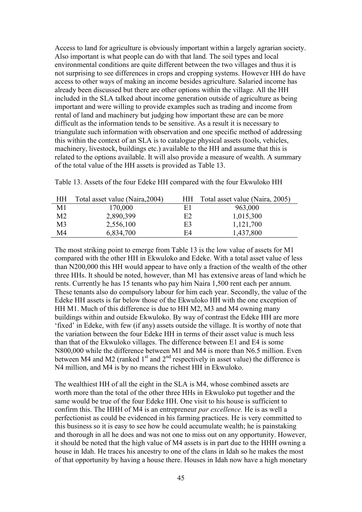Access to land for agriculture is obviously important within a largely agrarian society. Also important is what people can do with that land. The soil types and local environmental conditions are quite different between the two villages and thus it is not surprising to see differences in crops and cropping systems. However HH do have access to other ways of making an income besides agriculture. Salaried income has already been discussed but there are other options within the village. All the HH included in the SLA talked about income generation outside of agriculture as being important and were willing to provide examples such as trading and income from rental of land and machinery but judging how important these are can be more difficult as the information tends to be sensitive. As a result it is necessary to triangulate such information with observation and one specific method of addressing this within the context of an SLA is to catalogue physical assets (tools, vehicles, machinery, livestock, buildings etc.) available to the HH and assume that this is related to the options available. It will also provide a measure of wealth. A summary of the total value of the HH assets is provided as Table 13.

Table 13. Assets of the four Edeke HH compared with the four Ekwuloko HH

| <b>HH</b> | Total asset value (Naira, 2004) | HН | Total asset value (Naira, 2005) |
|-----------|---------------------------------|----|---------------------------------|
| M1        | 170,000                         | E1 | 963,000                         |
| M2        | 2,890,399                       | E2 | 1,015,300                       |
| M3        | 2,556,100                       | E3 | 1,121,700                       |
| M4        | 6,834,700                       | F4 | 1,437,800                       |

The most striking point to emerge from Table 13 is the low value of assets for M1 compared with the other HH in Ekwuloko and Edeke. With a total asset value of less than N200,000 this HH would appear to have only a fraction of the wealth of the other three HHs. It should be noted, however, than M1 has extensive areas of land which he rents. Currently he has 15 tenants who pay him Naira 1,500 rent each per annum. These tenants also do compulsory labour for him each year. Secondly, the value of the Edeke HH assets is far below those of the Ekwuloko HH with the one exception of HH M1. Much of this difference is due to HH M2, M3 and M4 owning many buildings within and outside Ekwuloko. By way of contrast the Edeke HH are more "fixed" in Edeke, with few (if any) assets outside the village. It is worthy of note that the variation between the four Edeke HH in terms of their asset value is much less than that of the Ekwuloko villages. The difference between E1 and E4 is some N800,000 while the difference between M1 and M4 is more than N6.5 million. Even between M4 and M2 (ranked  $1<sup>st</sup>$  and  $2<sup>nd</sup>$  respectively in asset value) the difference is N4 million, and M4 is by no means the richest HH in Ekwuloko.

The wealthiest HH of all the eight in the SLA is M4, whose combined assets are worth more than the total of the other three HHs in Ekwuloko put together and the same would be true of the four Edeke HH. One visit to his house is sufficient to confirm this. The HHH of M4 is an entrepreneur *par excellence.* He is as well a perfectionist as could be evidenced in his farming practices. He is very committed to this business so it is easy to see how he could accumulate wealth; he is painstaking and thorough in all he does and was not one to miss out on any opportunity. However, it should be noted that the high value of M4 assets is in part due to the HHH owning a house in Idah. He traces his ancestry to one of the clans in Idah so he makes the most of that opportunity by having a house there. Houses in Idah now have a high monetary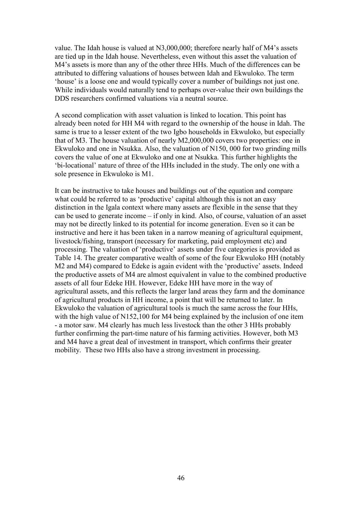value. The Idah house is valued at N3,000,000; therefore nearly half of M4"s assets are tied up in the Idah house. Nevertheless, even without this asset the valuation of M4's assets is more than any of the other three HHs. Much of the differences can be attributed to differing valuations of houses between Idah and Ekwuloko. The term "house" is a loose one and would typically cover a number of buildings not just one. While individuals would naturally tend to perhaps over-value their own buildings the DDS researchers confirmed valuations via a neutral source.

A second complication with asset valuation is linked to location. This point has already been noted for HH M4 with regard to the ownership of the house in Idah. The same is true to a lesser extent of the two Igbo households in Ekwuloko, but especially that of M3. The house valuation of nearly M2,000,000 covers two properties: one in Ekwuloko and one in Nsukka. Also, the valuation of N150, 000 for two grinding mills covers the value of one at Ekwuloko and one at Nsukka. This further highlights the "bi-locational" nature of three of the HHs included in the study. The only one with a sole presence in Ekwuloko is M1.

It can be instructive to take houses and buildings out of the equation and compare what could be referred to as 'productive' capital although this is not an easy distinction in the Igala context where many assets are flexible in the sense that they can be used to generate income – if only in kind. Also, of course, valuation of an asset may not be directly linked to its potential for income generation. Even so it can be instructive and here it has been taken in a narrow meaning of agricultural equipment, livestock/fishing, transport (necessary for marketing, paid employment etc) and processing. The valuation of "productive" assets under five categories is provided as Table 14. The greater comparative wealth of some of the four Ekwuloko HH (notably M2 and M4) compared to Edeke is again evident with the 'productive' assets. Indeed the productive assets of M4 are almost equivalent in value to the combined productive assets of all four Edeke HH. However, Edeke HH have more in the way of agricultural assets, and this reflects the larger land areas they farm and the dominance of agricultural products in HH income, a point that will be returned to later. In Ekwuloko the valuation of agricultural tools is much the same across the four HHs, with the high value of N152,100 for M4 being explained by the inclusion of one item - a motor saw. M4 clearly has much less livestock than the other 3 HHs probably further confirming the part-time nature of his farming activities. However, both M3 and M4 have a great deal of investment in transport, which confirms their greater mobility. These two HHs also have a strong investment in processing.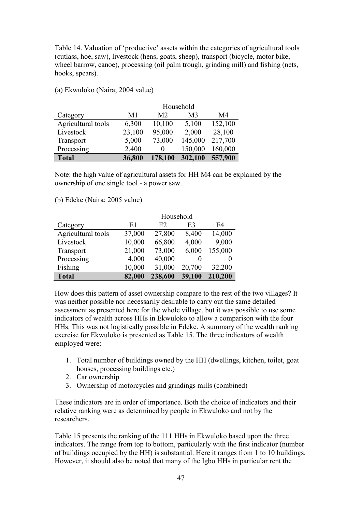Table 14. Valuation of 'productive' assets within the categories of agricultural tools (cutlass, hoe, saw), livestock (hens, goats, sheep), transport (bicycle, motor bike, wheel barrow, canoe), processing (oil palm trough, grinding mill) and fishing (nets, hooks, spears).

|                    |        |                | Household      |         |
|--------------------|--------|----------------|----------------|---------|
| Category           | M1     | M <sub>2</sub> | M <sub>3</sub> | M4      |
| Agricultural tools | 6,300  | 10,100         | 5,100          | 152,100 |
| Livestock          | 23,100 | 95,000         | 2,000          | 28,100  |
| Transport          | 5,000  | 73,000         | 145,000        | 217,700 |
| Processing         | 2,400  | 0              | 150,000        | 160,000 |
| <b>Total</b>       | 36,800 | 178,100        | 302,100        | 557,900 |

(a) Ekwuloko (Naira; 2004 value)

Note: the high value of agricultural assets for HH M4 can be explained by the ownership of one single tool - a power saw.

(b) Edeke (Naira; 2005 value)

|                    |        | Household |                |         |
|--------------------|--------|-----------|----------------|---------|
| Category           | E1     | E2        | E <sub>3</sub> | E4      |
| Agricultural tools | 37,000 | 27,800    | 8,400          | 14,000  |
| Livestock          | 10,000 | 66,800    | 4,000          | 9,000   |
| Transport          | 21,000 | 73,000    | 6,000          | 155,000 |
| Processing         | 4,000  | 40,000    | $\theta$       |         |
| Fishing            | 10,000 | 31,000    | 20,700         | 32,200  |
| <b>Total</b>       | 82,000 | 238,600   | 39,100         | 210,200 |

How does this pattern of asset ownership compare to the rest of the two villages? It was neither possible nor necessarily desirable to carry out the same detailed assessment as presented here for the whole village, but it was possible to use some indicators of wealth across HHs in Ekwuloko to allow a comparison with the four HHs. This was not logistically possible in Edeke. A summary of the wealth ranking exercise for Ekwuloko is presented as Table 15. The three indicators of wealth employed were:

- 1. Total number of buildings owned by the HH (dwellings, kitchen, toilet, goat houses, processing buildings etc.)
- 2. Car ownership
- 3. Ownership of motorcycles and grindings mills (combined)

These indicators are in order of importance. Both the choice of indicators and their relative ranking were as determined by people in Ekwuloko and not by the researchers.

Table 15 presents the ranking of the 111 HHs in Ekwuloko based upon the three indicators. The range from top to bottom, particularly with the first indicator (number of buildings occupied by the HH) is substantial. Here it ranges from 1 to 10 buildings. However, it should also be noted that many of the Igbo HHs in particular rent the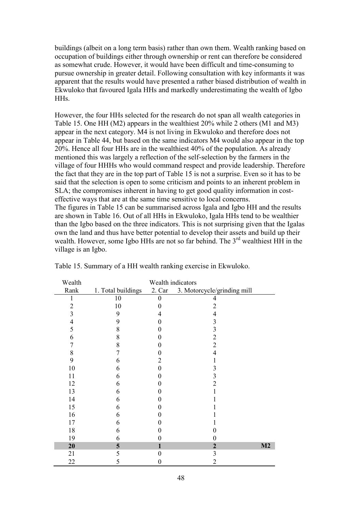buildings (albeit on a long term basis) rather than own them. Wealth ranking based on occupation of buildings either through ownership or rent can therefore be considered as somewhat crude. However, it would have been difficult and time-consuming to pursue ownership in greater detail. Following consultation with key informants it was apparent that the results would have presented a rather biased distribution of wealth in Ekwuloko that favoured Igala HHs and markedly underestimating the wealth of Igbo HHs.

However, the four HHs selected for the research do not span all wealth categories in Table 15. One HH (M2) appears in the wealthiest 20% while 2 others (M1 and M3) appear in the next category. M4 is not living in Ekwuloko and therefore does not appear in Table 44, but based on the same indicators M4 would also appear in the top 20%. Hence all four HHs are in the wealthiest 40% of the population. As already mentioned this was largely a reflection of the self-selection by the farmers in the village of four HHHs who would command respect and provide leadership. Therefore the fact that they are in the top part of Table 15 is not a surprise. Even so it has to be said that the selection is open to some criticism and points to an inherent problem in SLA; the compromises inherent in having to get good quality information in costeffective ways that are at the same time sensitive to local concerns. The figures in Table 15 can be summarised across Igala and Igbo HH and the results

are shown in Table 16. Out of all HHs in Ekwuloko, Igala HHs tend to be wealthier than the Igbo based on the three indicators. This is not surprising given that the Igalas own the land and thus have better potential to develop their assets and build up their wealth. However, some Igbo HHs are not so far behind. The  $3<sup>rd</sup>$  wealthiest HH in the village is an Igbo.

| Wealth         | Wealth indicators  |        |                             |    |  |
|----------------|--------------------|--------|-----------------------------|----|--|
| Rank           | 1. Total buildings | 2. Car | 3. Motorcycle/grinding mill |    |  |
|                | 10                 | 0      | 4                           |    |  |
| $\overline{c}$ | 10                 |        | $\overline{2}$              |    |  |
| 3              | 9                  | 4      | $\overline{4}$              |    |  |
| 4              | 9                  |        | 3                           |    |  |
| 5              | 8                  |        | 3                           |    |  |
| 6              | 8                  |        | $\overline{2}$              |    |  |
|                | 8                  |        | $\overline{2}$              |    |  |
| 8              |                    |        | 4                           |    |  |
| 9              | 6                  |        |                             |    |  |
| 10             | 6                  |        | 3                           |    |  |
| 11             | 6                  |        | 3                           |    |  |
| 12             | 6                  |        | $\overline{2}$              |    |  |
| 13             | 6                  |        |                             |    |  |
| 14             | 6                  |        |                             |    |  |
| 15             | 6                  |        |                             |    |  |
| 16             | 6                  |        |                             |    |  |
| 17             | 6                  |        |                             |    |  |
| 18             | 6                  |        |                             |    |  |
| 19             | 6                  |        | 0                           |    |  |
| 20             | 5                  |        | $\overline{2}$              | M2 |  |
| 21             | 5                  | 0      | 3                           |    |  |
| 22             | 5                  | 0      | 2                           |    |  |

Table 15. Summary of a HH wealth ranking exercise in Ekwuloko.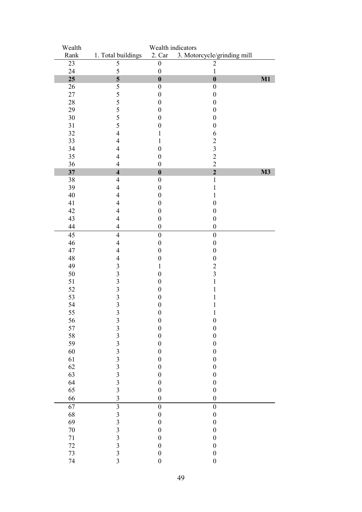| Wealth |                                                 | Wealth indicators |                             |               |
|--------|-------------------------------------------------|-------------------|-----------------------------|---------------|
| Rank   | 1. Total buildings                              | 2. Car            | 3. Motorcycle/grinding mill |               |
| 23     | 5                                               | $\boldsymbol{0}$  | $\overline{2}$              |               |
| 24     | 5                                               | $\boldsymbol{0}$  | $\mathbf 1$                 |               |
| 25     | 5                                               | $\boldsymbol{0}$  | $\boldsymbol{0}$            | M1            |
| 26     | 5                                               | $\boldsymbol{0}$  | $\boldsymbol{0}$            |               |
| 27     | 5                                               | $\boldsymbol{0}$  | $\boldsymbol{0}$            |               |
| 28     | 5                                               | $\boldsymbol{0}$  | $\boldsymbol{0}$            |               |
| 29     | 5                                               | $\boldsymbol{0}$  | $\boldsymbol{0}$            |               |
| 30     | 5                                               | $\boldsymbol{0}$  | $\boldsymbol{0}$            |               |
| 31     | 5                                               | $\boldsymbol{0}$  | $\boldsymbol{0}$            |               |
| 32     | $\overline{4}$                                  | 1                 | 6                           |               |
| 33     | $\overline{4}$                                  | 1                 | $\overline{c}$              |               |
| 34     | 4                                               | $\boldsymbol{0}$  | $\overline{\mathbf{3}}$     |               |
|        |                                                 |                   |                             |               |
| 35     | $\overline{4}$                                  | $\boldsymbol{0}$  | $\frac{2}{2}$               |               |
| 36     | $\overline{4}$                                  | $\boldsymbol{0}$  |                             |               |
| 37     | $\overline{\mathbf{4}}$                         | $\boldsymbol{0}$  | $\overline{2}$              | $\mathbf{M}3$ |
| 38     | $\overline{\mathcal{L}}$                        | $\boldsymbol{0}$  | $\,1$                       |               |
| 39     | $\overline{\mathcal{L}}$                        | $\boldsymbol{0}$  | $\mathbf{1}$                |               |
| 40     | $\overline{4}$                                  | $\boldsymbol{0}$  | 1                           |               |
| 41     | $\overline{4}$                                  | $\boldsymbol{0}$  | $\boldsymbol{0}$            |               |
| 42     | 4                                               | $\boldsymbol{0}$  | $\boldsymbol{0}$            |               |
| 43     | $\overline{4}$                                  | $\boldsymbol{0}$  | $\boldsymbol{0}$            |               |
| 44     | $\overline{\mathcal{L}}$                        | $\boldsymbol{0}$  | $\boldsymbol{0}$            |               |
| 45     | $\overline{4}$                                  | $\boldsymbol{0}$  | $\boldsymbol{0}$            |               |
| 46     | $\overline{4}$                                  | $\boldsymbol{0}$  | $\boldsymbol{0}$            |               |
| 47     | $\overline{4}$                                  | $\boldsymbol{0}$  | $\boldsymbol{0}$            |               |
| 48     | $\overline{4}$                                  | $\boldsymbol{0}$  | $\boldsymbol{0}$            |               |
| 49     | $\mathfrak{Z}$                                  | $\mathbf{1}$      | $\overline{c}$              |               |
| 50     | $\overline{\mathbf{3}}$                         | $\boldsymbol{0}$  | $\overline{\mathbf{3}}$     |               |
| 51     | $\overline{\mathbf{3}}$                         | $\boldsymbol{0}$  | $\mathbf{1}$                |               |
| 52     | $\overline{\mathbf{3}}$                         | $\boldsymbol{0}$  | 1                           |               |
| 53     | $\overline{\mathbf{3}}$                         | $\boldsymbol{0}$  | 1                           |               |
| 54     | $\overline{\mathbf{3}}$                         | $\boldsymbol{0}$  | $\mathbf{1}$                |               |
| 55     | $\overline{\mathbf{3}}$                         | $\boldsymbol{0}$  | $\mathbf{1}$                |               |
|        |                                                 |                   |                             |               |
| 56     |                                                 | $\boldsymbol{0}$  | $\boldsymbol{0}$            |               |
| 57     | $\begin{array}{c} 3 \\ 3 \\ 3 \end{array}$      | $\boldsymbol{0}$  | $\boldsymbol{0}$            |               |
| 58     |                                                 | $\boldsymbol{0}$  | $\boldsymbol{0}$            |               |
| 59     | $\begin{array}{c} 3 \\ 3 \\ 3 \\ 3 \end{array}$ | $\boldsymbol{0}$  | $\boldsymbol{0}$            |               |
| 60     |                                                 | $\boldsymbol{0}$  | $\boldsymbol{0}$            |               |
| 61     |                                                 | $\boldsymbol{0}$  | $\boldsymbol{0}$            |               |
| 62     |                                                 | $\boldsymbol{0}$  | $\boldsymbol{0}$            |               |
| 63     | $\begin{array}{c} 3 \\ 3 \\ 3 \end{array}$      | $\boldsymbol{0}$  | $\boldsymbol{0}$            |               |
| 64     |                                                 | $\boldsymbol{0}$  | $\boldsymbol{0}$            |               |
| 65     |                                                 | $\boldsymbol{0}$  | $\boldsymbol{0}$            |               |
| 66     | $\overline{\mathbf{3}}$                         | $\boldsymbol{0}$  | $\boldsymbol{0}$            |               |
| 67     | $\overline{\mathbf{3}}$                         | $\boldsymbol{0}$  | $\boldsymbol{0}$            |               |
| 68     |                                                 | $\boldsymbol{0}$  | $\boldsymbol{0}$            |               |
| 69     |                                                 | $\boldsymbol{0}$  | $\boldsymbol{0}$            |               |
| $70\,$ | $\begin{array}{c} 3 \\ 3 \\ 3 \\ 3 \end{array}$ | $\boldsymbol{0}$  | $\boldsymbol{0}$            |               |
| $71\,$ |                                                 | $\boldsymbol{0}$  | $\boldsymbol{0}$            |               |
| 72     | $\overline{\mathbf{3}}$                         | $\boldsymbol{0}$  | $\boldsymbol{0}$            |               |
| 73     | $\overline{\mathbf{3}}$                         | $\boldsymbol{0}$  | $\boldsymbol{0}$            |               |
| 74     | $\overline{3}$                                  | $\boldsymbol{0}$  | $\boldsymbol{0}$            |               |
|        |                                                 |                   |                             |               |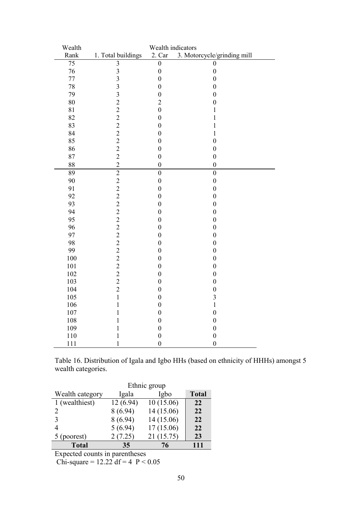| Wealth | Wealth indicators                                 |                  |                             |  |  |
|--------|---------------------------------------------------|------------------|-----------------------------|--|--|
| Rank   | 1. Total buildings                                | 2. Car           | 3. Motorcycle/grinding mill |  |  |
| 75     | $\overline{3}$                                    | $\overline{0}$   | 0                           |  |  |
| 76     | $\overline{\mathbf{3}}$                           | $\boldsymbol{0}$ | $\boldsymbol{0}$            |  |  |
| 77     | $\overline{3}$                                    | $\overline{0}$   | $\boldsymbol{0}$            |  |  |
| 78     | $\overline{3}$                                    | $\overline{0}$   | $\overline{0}$              |  |  |
| 79     | $\overline{3}$                                    | $\boldsymbol{0}$ | $\boldsymbol{0}$            |  |  |
| 80     | $\overline{c}$                                    | $\overline{c}$   | $\boldsymbol{0}$            |  |  |
| 81     | $\begin{array}{c}\n2 \\ 2 \\ 2 \\ 2\n\end{array}$ | $\overline{0}$   | $\mathbf 1$                 |  |  |
| 82     |                                                   | $\overline{0}$   | $\mathbf{1}$                |  |  |
| 83     |                                                   | $\boldsymbol{0}$ | $\mathbf{1}$                |  |  |
| 84     |                                                   | $\boldsymbol{0}$ | $\mathbf{1}$                |  |  |
| 85     |                                                   | $\overline{0}$   | $\overline{0}$              |  |  |
| 86     | $\overline{c}$                                    | $\overline{0}$   | $\boldsymbol{0}$            |  |  |
| 87     | $\overline{c}$                                    | $\overline{0}$   | $\boldsymbol{0}$            |  |  |
| 88     | $\overline{c}$                                    | $\overline{0}$   | $\overline{0}$              |  |  |
| 89     | $\overline{2}$                                    | $\overline{0}$   | $\boldsymbol{0}$            |  |  |
| 90     |                                                   | $\overline{0}$   | $\boldsymbol{0}$            |  |  |
| 91     | $\frac{2}{2}$                                     | $\boldsymbol{0}$ | $\boldsymbol{0}$            |  |  |
| 92     |                                                   | $\boldsymbol{0}$ | $\boldsymbol{0}$            |  |  |
| 93     | $2222$<br>$222$<br>$22$                           | $\boldsymbol{0}$ | $\boldsymbol{0}$            |  |  |
| 94     |                                                   | $\boldsymbol{0}$ | $\boldsymbol{0}$            |  |  |
| 95     |                                                   | $\boldsymbol{0}$ | $\boldsymbol{0}$            |  |  |
| 96     |                                                   | $\boldsymbol{0}$ | $\boldsymbol{0}$            |  |  |
| 97     |                                                   | $\boldsymbol{0}$ | $\boldsymbol{0}$            |  |  |
| 98     |                                                   | $\boldsymbol{0}$ | $\boldsymbol{0}$            |  |  |
| 99     | $\overline{c}$                                    | $\overline{0}$   | $\boldsymbol{0}$            |  |  |
| 100    | $\overline{c}$                                    | $\overline{0}$   | $\overline{0}$              |  |  |
| 101    | $\overline{2}$                                    | $\overline{0}$   | $\boldsymbol{0}$            |  |  |
| 102    | $\overline{2}$                                    | $\overline{0}$   | $\boldsymbol{0}$            |  |  |
| 103    | $\overline{2}$                                    | $\boldsymbol{0}$ | $\boldsymbol{0}$            |  |  |
| 104    | $\overline{c}$                                    | $\boldsymbol{0}$ | $\boldsymbol{0}$            |  |  |
| 105    | $\mathbf{1}$                                      | $\boldsymbol{0}$ | 3                           |  |  |
| 106    | $\mathbf{1}$                                      | $\boldsymbol{0}$ | $\mathbf{1}$                |  |  |
| 107    | $\mathbf{1}$                                      | $\boldsymbol{0}$ | $\boldsymbol{0}$            |  |  |
| 108    | $\mathbf{1}$                                      | $\boldsymbol{0}$ | $\boldsymbol{0}$            |  |  |
| 109    | $\mathbf{1}$                                      | $\boldsymbol{0}$ | $\boldsymbol{0}$            |  |  |
| 110    | $\mathbf{1}$                                      | $\overline{0}$   | $\boldsymbol{0}$            |  |  |
| 111    | $\mathbf{1}$                                      | $\mathbf{0}$     | $\overline{0}$              |  |  |

Table 16. Distribution of Igala and Igbo HHs (based on ethnicity of HHHs) amongst 5 wealth categories.

|                 | Ethnic group |            |              |  |  |
|-----------------|--------------|------------|--------------|--|--|
| Wealth category | Igala        | Igbo       | <b>Total</b> |  |  |
| 1 (wealthiest)  | 12(6.94)     | 10(15.06)  | 22           |  |  |
| 2               | 8(6.94)      | 14 (15.06) | 22           |  |  |
|                 | 8(6.94)      | 14 (15.06) | 22           |  |  |
|                 | 5(6.94)      | 17(15.06)  | 22           |  |  |
| 5 (poorest)     | 2(7.25)      | 21 (15.75) | 23           |  |  |
| <b>Total</b>    | 35           | 76         | 111          |  |  |

Expected counts in parentheses

Chi-square =  $12.22 \text{ df} = 4 \text{ P} < 0.05$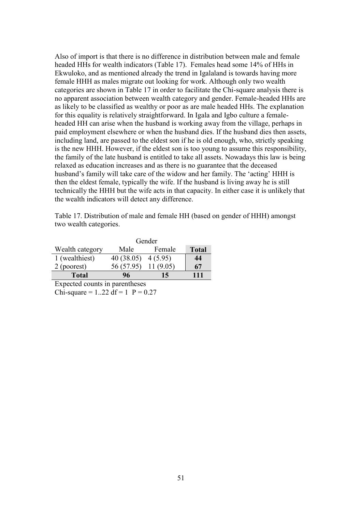Also of import is that there is no difference in distribution between male and female headed HHs for wealth indicators (Table 17). Females head some 14% of HHs in Ekwuloko, and as mentioned already the trend in Igalaland is towards having more female HHH as males migrate out looking for work. Although only two wealth categories are shown in Table 17 in order to facilitate the Chi-square analysis there is no apparent association between wealth category and gender. Female-headed HHs are as likely to be classified as wealthy or poor as are male headed HHs. The explanation for this equality is relatively straightforward. In Igala and Igbo culture a femaleheaded HH can arise when the husband is working away from the village, perhaps in paid employment elsewhere or when the husband dies. If the husband dies then assets, including land, are passed to the eldest son if he is old enough, who, strictly speaking is the new HHH. However, if the eldest son is too young to assume this responsibility, the family of the late husband is entitled to take all assets. Nowadays this law is being relaxed as education increases and as there is no guarantee that the deceased husband's family will take care of the widow and her family. The 'acting' HHH is then the eldest female, typically the wife. If the husband is living away he is still technically the HHH but the wife acts in that capacity. In either case it is unlikely that the wealth indicators will detect any difference.

Table 17. Distribution of male and female HH (based on gender of HHH) amongst two wealth categories.

|                 | Gender     |          |              |  |  |
|-----------------|------------|----------|--------------|--|--|
| Wealth category | Male       | Female   | <b>Total</b> |  |  |
| 1 (wealthiest)  | 40(38.05)  | 4(5.95)  | 44           |  |  |
| 2 (poorest)     | 56 (57.95) | 11(9.05) | 67           |  |  |
| <b>Total</b>    | 96         | 15       | 111          |  |  |

Expected counts in parentheses Chi-square =  $1..22$  df =  $1$  P =  $0.27$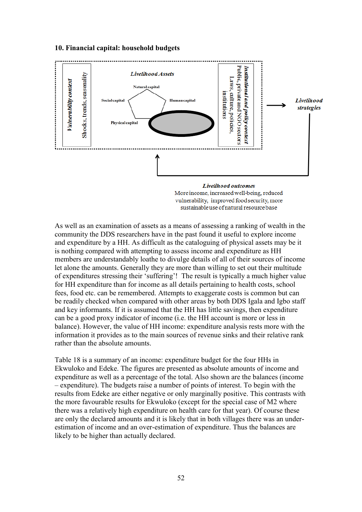#### **10. Financial capital: household budgets**



vulnerability, improved food security, more sustainable use of natural resource base

As well as an examination of assets as a means of assessing a ranking of wealth in the community the DDS researchers have in the past found it useful to explore income and expenditure by a HH. As difficult as the cataloguing of physical assets may be it is nothing compared with attempting to assess income and expenditure as HH members are understandably loathe to divulge details of all of their sources of income let alone the amounts. Generally they are more than willing to set out their multitude of expenditures stressing their "suffering"! The result is typically a much higher value for HH expenditure than for income as all details pertaining to health costs, school fees, food etc. can be remembered. Attempts to exaggerate costs is common but can be readily checked when compared with other areas by both DDS Igala and Igbo staff and key informants. If it is assumed that the HH has little savings, then expenditure can be a good proxy indicator of income (i.e. the HH account is more or less in balance). However, the value of HH income: expenditure analysis rests more with the information it provides as to the main sources of revenue sinks and their relative rank rather than the absolute amounts.

Table 18 is a summary of an income: expenditure budget for the four HHs in Ekwuloko and Edeke. The figures are presented as absolute amounts of income and expenditure as well as a percentage of the total. Also shown are the balances (income – expenditure). The budgets raise a number of points of interest. To begin with the results from Edeke are either negative or only marginally positive. This contrasts with the more favourable results for Ekwuloko (except for the special case of M2 where there was a relatively high expenditure on health care for that year). Of course these are only the declared amounts and it is likely that in both villages there was an underestimation of income and an over-estimation of expenditure. Thus the balances are likely to be higher than actually declared.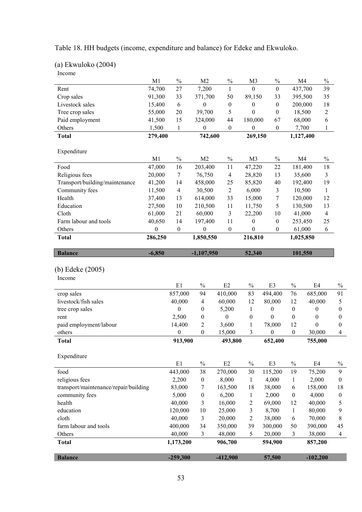|  |  | Table 18. HH budgets (income, expenditure and balance) for Edeke and Ekwuloko. |  |
|--|--|--------------------------------------------------------------------------------|--|
|  |  |                                                                                |  |

| $(a)$ Ekwuloko $(2004)$ |  |
|-------------------------|--|
|-------------------------|--|

|                                       | M1               | $\frac{0}{0}$        | M <sub>2</sub>     | $\%$                 | M <sub>3</sub>   | $\%$                               |                  | M <sub>4</sub><br>$\%$       |                  |
|---------------------------------------|------------------|----------------------|--------------------|----------------------|------------------|------------------------------------|------------------|------------------------------|------------------|
| Rent                                  | 74,700           | 27                   | 7,200              | $\mathbf{1}$         | $\mathbf{0}$     | $\boldsymbol{0}$                   |                  | 437,700<br>39                |                  |
| Crop sales                            | 91,300           | 33                   | 371,700            | 50                   | 89,150           | 33                                 |                  | 395,500<br>35                |                  |
| Livestock sales                       | 15,400           | 6                    | $\boldsymbol{0}$   | $\boldsymbol{0}$     | $\boldsymbol{0}$ | $\boldsymbol{0}$                   |                  | 200,000<br>18                |                  |
| Tree crop sales                       | 55,000           | 20                   | 39,700             | 5                    | $\boldsymbol{0}$ | $\boldsymbol{0}$                   |                  | 18,500<br>$\mathfrak{2}$     |                  |
| Paid employment                       | 41,500           | 15                   | 324,000            | 44                   | 180,000          | 67                                 |                  | 68,000<br>6                  |                  |
| Others                                | 1,500            | $\mathbf{1}$         | 0                  | $\boldsymbol{0}$     | 0                | $\boldsymbol{0}$                   |                  | 7,700<br>1                   |                  |
| <b>Total</b>                          | 279,400          |                      | 742,600            |                      | 269,150          |                                    |                  | 1,127,400                    |                  |
|                                       |                  |                      |                    |                      |                  |                                    |                  |                              |                  |
| Expenditure                           | M1               | $\frac{0}{0}$        | M <sub>2</sub>     | $\%$                 |                  | $\frac{0}{0}$                      |                  | M <sub>4</sub>               |                  |
| Food                                  | 47,000           | 16                   |                    | 11                   | M <sub>3</sub>   | 22                                 |                  | $\%$<br>18                   |                  |
|                                       | 20,000           | $\tau$               | 203,400<br>76,750  |                      | 47,220           | 13                                 |                  | 181,400<br>3                 |                  |
| Religious fees                        |                  |                      |                    | $\overline{4}$       | 28,820           | 40                                 |                  | 35,600                       |                  |
| Transport/building/maintenance        | 41,200           | 14<br>$\overline{4}$ | 458,000            | 25<br>$\overline{2}$ | 85,820           |                                    |                  | 19<br>192,400                |                  |
| Community fees<br>Health              | 11,500           | 13                   | 30,500             | 33                   | 6,000<br>15,000  | $\mathfrak{Z}$<br>$\boldsymbol{7}$ |                  | 10,500<br>$\mathbf{1}$<br>12 |                  |
| Education                             | 37,400<br>27,500 | 10                   | 614,000<br>210,500 | 11                   |                  | 5                                  |                  | 120,000<br>130,500<br>13     |                  |
| Cloth                                 | 61,000           | 21                   | 60,000             | $\mathfrak{Z}$       | 11,750<br>22,200 | 10                                 |                  | 41,000<br>$\overline{4}$     |                  |
| Farm labour and tools                 | 40,650           | 14                   | 197,400            | 11                   | $\boldsymbol{0}$ | $\boldsymbol{0}$                   |                  | 253,450<br>25                |                  |
| Others                                | $\boldsymbol{0}$ | $\boldsymbol{0}$     | $\boldsymbol{0}$   | $\boldsymbol{0}$     | $\boldsymbol{0}$ | $\boldsymbol{0}$                   |                  | 61,000<br>6                  |                  |
| <b>Total</b>                          | 286,250          |                      | 1,850,550          |                      | 216,810          |                                    |                  | 1,025,850                    |                  |
|                                       |                  |                      |                    |                      |                  |                                    |                  |                              |                  |
| <b>Balance</b>                        | $-6,850$         | $-1,107,950$         |                    | 52,340               |                  | 101,550                            |                  |                              |                  |
|                                       |                  |                      |                    |                      |                  |                                    |                  |                              |                  |
| (b) Edeke (2005)                      |                  |                      |                    |                      |                  |                                    |                  |                              |                  |
| Income                                |                  |                      |                    |                      |                  |                                    |                  |                              |                  |
|                                       |                  | E1                   | $\%$               | E2                   | $\%$             | E3                                 | $\%$             | E4                           | $\%$             |
| crop sales                            |                  | 857,000              | 94                 | 410,000              | 83               | 494,400                            | 76               | 685,000                      | 91               |
| livestock/fish sales                  |                  | 40,000               | $\overline{4}$     | 60,000               | 12               | 80,000                             | 12               | 40,000                       | 5                |
| tree crop sales                       |                  | $\boldsymbol{0}$     | $\boldsymbol{0}$   | 5,200                | 1                | $\boldsymbol{0}$                   | $\boldsymbol{0}$ | $\boldsymbol{0}$             | $\boldsymbol{0}$ |
| rent                                  |                  | 2,500                | $\boldsymbol{0}$   | $\boldsymbol{0}$     | $\boldsymbol{0}$ | $\boldsymbol{0}$                   | $\boldsymbol{0}$ | $\boldsymbol{0}$             | $\boldsymbol{0}$ |
| paid employment/labour                |                  | 14,400               | $\sqrt{2}$         | 3,600                | $\mathbf{1}$     | 78,000                             | 12               | 0                            | $\mathbf{0}$     |
| others                                |                  | $\mathbf{0}$         | $\boldsymbol{0}$   | 15,000               | 3                | $\boldsymbol{0}$                   | $\boldsymbol{0}$ | 30,000                       | 4                |
| <b>Total</b>                          |                  | 913,900              |                    | 493,800              |                  | 652,400                            |                  | 755,000                      |                  |
|                                       |                  |                      |                    |                      |                  |                                    |                  |                              |                  |
| Expenditure                           |                  |                      |                    |                      |                  |                                    |                  |                              |                  |
| food                                  |                  | E1<br>443,000        | $\%$<br>38         | E2<br>270,000        | $\%$<br>30       | E3<br>115,200                      | $\%$<br>19       | E4<br>75,200                 | $\%$<br>9        |
| religious fees                        |                  | 2,200                | $\boldsymbol{0}$   | 8,000                | $\mathbf{1}$     | 4,000                              | 1                | 2,000                        | $\boldsymbol{0}$ |
| transport/maintenance/repair/building |                  | 83,000               | 7                  | 163,500              | 18               | 38,000                             | 6                | 158,000                      | 18               |
| community fees                        |                  | 5,000                | $\boldsymbol{0}$   | 6,200                | $\mathbf{1}$     | 2,000                              | $\boldsymbol{0}$ | 4,000                        | $\boldsymbol{0}$ |
| health                                |                  | 40,000               | 3                  | 16,000               | $\overline{c}$   | 69,000                             | 12               | 40,000                       | 5                |
| education                             |                  | 120,000              | 10                 | 25,000               | 3                | 8,700                              | $\mathbf{1}$     | 80,000                       | 9                |
| cloth                                 |                  | 40,000               | 3                  | 20,000               | 2                | 38,000                             | $\sqrt{6}$       | 70,000                       | 8                |
| farm labour and tools                 |                  | 400,000              | 34                 | 350,000              | 39               | 300,000                            | 50               | 390,000                      | 45               |
| Others                                |                  | 40,000               | 3                  | 48,000               | 5                | 20,000                             | $\mathfrak{Z}$   | 38,000                       | $\overline{4}$   |
| <b>Total</b>                          |                  | 1,173,200            |                    | 906,700              |                  | 594,900                            |                  | 857,200                      |                  |
|                                       |                  |                      |                    |                      |                  |                                    |                  |                              |                  |
| <b>Balance</b>                        |                  | $-259,300$           |                    | $-412,900$           |                  | 57,500                             |                  | $-102,200$                   |                  |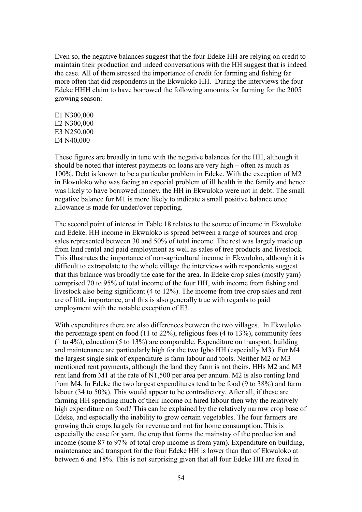Even so, the negative balances suggest that the four Edeke HH are relying on credit to maintain their production and indeed conversations with the HH suggest that is indeed the case. All of them stressed the importance of credit for farming and fishing far more often that did respondents in the Ekwuloko HH. During the interviews the four Edeke HHH claim to have borrowed the following amounts for farming for the 2005 growing season:

E1 N300,000 E2 N300,000 E3 N250,000 E4 N40,000

These figures are broadly in tune with the negative balances for the HH, although it should be noted that interest payments on loans are very high – often as much as 100%. Debt is known to be a particular problem in Edeke. With the exception of M2 in Ekwuloko who was facing an especial problem of ill health in the family and hence was likely to have borrowed money, the HH in Ekwuloko were not in debt. The small negative balance for M1 is more likely to indicate a small positive balance once allowance is made for under/over reporting.

The second point of interest in Table 18 relates to the source of income in Ekwuloko and Edeke. HH income in Ekwuloko is spread between a range of sources and crop sales represented between 30 and 50% of total income. The rest was largely made up from land rental and paid employment as well as sales of tree products and livestock. This illustrates the importance of non-agricultural income in Ekwuloko, although it is difficult to extrapolate to the whole village the interviews with respondents suggest that this balance was broadly the case for the area. In Edeke crop sales (mostly yam) comprised 70 to 95% of total income of the four HH, with income from fishing and livestock also being significant (4 to 12%). The income from tree crop sales and rent are of little importance, and this is also generally true with regards to paid employment with the notable exception of E3.

With expenditures there are also differences between the two villages. In Ekwuloko the percentage spent on food (11 to 22%), religious fees (4 to 13%), community fees (1 to 4%), education (5 to 13%) are comparable. Expenditure on transport, building and maintenance are particularly high for the two Igbo HH (especially M3). For M4 the largest single sink of expenditure is farm labour and tools. Neither M2 or M3 mentioned rent payments, although the land they farm is not theirs. HHs M2 and M3 rent land from M1 at the rate of N1,500 per area per annum. M2 is also renting land from M4. In Edeke the two largest expenditures tend to be food (9 to 38%) and farm labour (34 to 50%). This would appear to be contradictory. After all, if these are farming HH spending much of their income on hired labour then why the relatively high expenditure on food? This can be explained by the relatively narrow crop base of Edeke, and especially the inability to grow certain vegetables. The four farmers are growing their crops largely for revenue and not for home consumption. This is especially the case for yam, the crop that forms the mainstay of the production and income (some 87 to 97% of total crop income is from yam). Expenditure on building, maintenance and transport for the four Edeke HH is lower than that of Ekwuloko at between 6 and 18%. This is not surprising given that all four Edeke HH are fixed in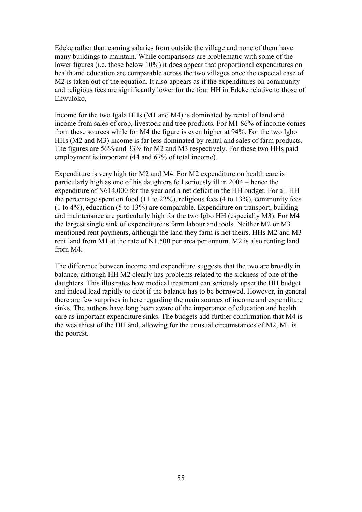Edeke rather than earning salaries from outside the village and none of them have many buildings to maintain. While comparisons are problematic with some of the lower figures (i.e. those below 10%) it does appear that proportional expenditures on health and education are comparable across the two villages once the especial case of M2 is taken out of the equation. It also appears as if the expenditures on community and religious fees are significantly lower for the four HH in Edeke relative to those of Ekwuloko,

Income for the two Igala HHs (M1 and M4) is dominated by rental of land and income from sales of crop, livestock and tree products. For M1 86% of income comes from these sources while for M4 the figure is even higher at 94%. For the two Igbo HHs (M2 and M3) income is far less dominated by rental and sales of farm products. The figures are 56% and 33% for M2 and M3 respectively. For these two HHs paid employment is important (44 and 67% of total income).

Expenditure is very high for M2 and M4. For M2 expenditure on health care is particularly high as one of his daughters fell seriously ill in 2004 – hence the expenditure of N614,000 for the year and a net deficit in the HH budget. For all HH the percentage spent on food (11 to 22%), religious fees (4 to 13%), community fees (1 to 4%), education (5 to 13%) are comparable. Expenditure on transport, building and maintenance are particularly high for the two Igbo HH (especially M3). For M4 the largest single sink of expenditure is farm labour and tools. Neither M2 or M3 mentioned rent payments, although the land they farm is not theirs. HHs M2 and M3 rent land from M1 at the rate of N1,500 per area per annum. M2 is also renting land from M4.

The difference between income and expenditure suggests that the two are broadly in balance, although HH M2 clearly has problems related to the sickness of one of the daughters. This illustrates how medical treatment can seriously upset the HH budget and indeed lead rapidly to debt if the balance has to be borrowed. However, in general there are few surprises in here regarding the main sources of income and expenditure sinks. The authors have long been aware of the importance of education and health care as important expenditure sinks. The budgets add further confirmation that M4 is the wealthiest of the HH and, allowing for the unusual circumstances of M2, M1 is the poorest.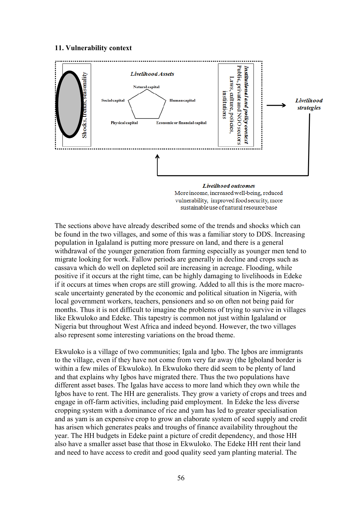#### **11. Vulnerability context**



vulnerability, improved food security, more sustainable use of natural resource base

The sections above have already described some of the trends and shocks which can be found in the two villages, and some of this was a familiar story to DDS. Increasing population in Igalaland is putting more pressure on land, and there is a general withdrawal of the younger generation from farming especially as younger men tend to migrate looking for work. Fallow periods are generally in decline and crops such as cassava which do well on depleted soil are increasing in acreage. Flooding, while positive if it occurs at the right time, can be highly damaging to livelihoods in Edeke if it occurs at times when crops are still growing. Added to all this is the more macroscale uncertainty generated by the economic and political situation in Nigeria, with local government workers, teachers, pensioners and so on often not being paid for months. Thus it is not difficult to imagine the problems of trying to survive in villages like Ekwuloko and Edeke. This tapestry is common not just within Igalaland or Nigeria but throughout West Africa and indeed beyond. However, the two villages also represent some interesting variations on the broad theme.

Ekwuloko is a village of two communities; Igala and Igbo. The Igbos are immigrants to the village, even if they have not come from very far away (the Igboland border is within a few miles of Ekwuloko). In Ekwuloko there did seem to be plenty of land and that explains why Igbos have migrated there. Thus the two populations have different asset bases. The Igalas have access to more land which they own while the Igbos have to rent. The HH are generalists. They grow a variety of crops and trees and engage in off-farm activities, including paid employment. In Edeke the less diverse cropping system with a dominance of rice and yam has led to greater specialisation and as yam is an expensive crop to grow an elaborate system of seed supply and credit has arisen which generates peaks and troughs of finance availability throughout the year. The HH budgets in Edeke paint a picture of credit dependency, and those HH also have a smaller asset base that those in Ekwuloko. The Edeke HH rent their land and need to have access to credit and good quality seed yam planting material. The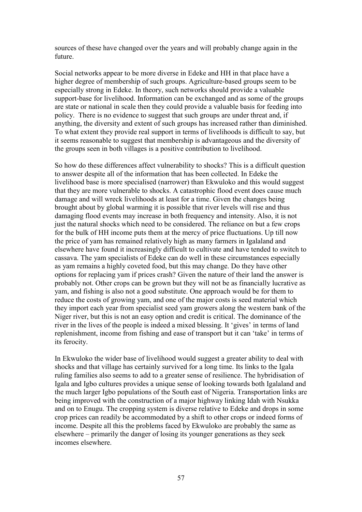sources of these have changed over the years and will probably change again in the future.

Social networks appear to be more diverse in Edeke and HH in that place have a higher degree of membership of such groups. Agriculture-based groups seem to be especially strong in Edeke. In theory, such networks should provide a valuable support-base for livelihood. Information can be exchanged and as some of the groups are state or national in scale then they could provide a valuable basis for feeding into policy. There is no evidence to suggest that such groups are under threat and, if anything, the diversity and extent of such groups has increased rather than diminished. To what extent they provide real support in terms of livelihoods is difficult to say, but it seems reasonable to suggest that membership is advantageous and the diversity of the groups seen in both villages is a positive contribution to livelihood.

So how do these differences affect vulnerability to shocks? This is a difficult question to answer despite all of the information that has been collected. In Edeke the livelihood base is more specialised (narrower) than Ekwuloko and this would suggest that they are more vulnerable to shocks. A catastrophic flood event does cause much damage and will wreck livelihoods at least for a time. Given the changes being brought about by global warming it is possible that river levels will rise and thus damaging flood events may increase in both frequency and intensity. Also, it is not just the natural shocks which need to be considered. The reliance on but a few crops for the bulk of HH income puts them at the mercy of price fluctuations. Up till now the price of yam has remained relatively high as many farmers in Igalaland and elsewhere have found it increasingly difficult to cultivate and have tended to switch to cassava. The yam specialists of Edeke can do well in these circumstances especially as yam remains a highly coveted food, but this may change. Do they have other options for replacing yam if prices crash? Given the nature of their land the answer is probably not. Other crops can be grown but they will not be as financially lucrative as yam, and fishing is also not a good substitute. One approach would be for them to reduce the costs of growing yam, and one of the major costs is seed material which they import each year from specialist seed yam growers along the western bank of the Niger river, but this is not an easy option and credit is critical. The dominance of the river in the lives of the people is indeed a mixed blessing. It 'gives' in terms of land replenishment, income from fishing and ease of transport but it can "take" in terms of its ferocity.

In Ekwuloko the wider base of livelihood would suggest a greater ability to deal with shocks and that village has certainly survived for a long time. Its links to the Igala ruling families also seems to add to a greater sense of resilience. The hybridisation of Igala and Igbo cultures provides a unique sense of looking towards both Igalaland and the much larger Igbo populations of the South east of Nigeria. Transportation links are being improved with the construction of a major highway linking Idah with Nsukka and on to Enugu. The cropping system is diverse relative to Edeke and drops in some crop prices can readily be accommodated by a shift to other crops or indeed forms of income. Despite all this the problems faced by Ekwuloko are probably the same as elsewhere – primarily the danger of losing its younger generations as they seek incomes elsewhere.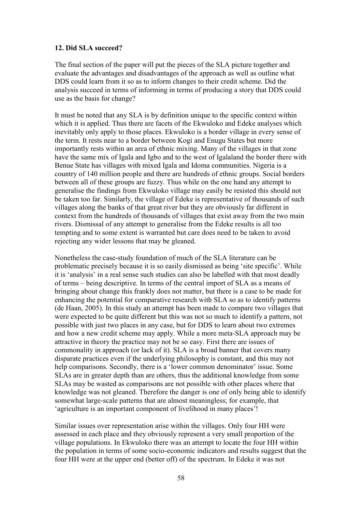## **12. Did SLA succeed?**

The final section of the paper will put the pieces of the SLA picture together and evaluate the advantages and disadvantages of the approach as well as outline what DDS could learn from it so as to inform changes to their credit scheme. Did the analysis succeed in terms of informing in terms of producing a story that DDS could use as the basis for change?

It must be noted that any SLA is by definition unique to the specific context within which it is applied. Thus there are facets of the Ekwuloko and Edeke analyses which inevitably only apply to those places. Ekwuloko is a border village in every sense of the term. It rests near to a border between Kogi and Enugu States but more importantly rests within an area of ethnic mixing. Many of the villages in that zone have the same mix of Igala and Igbo and to the west of Igalaland the border there with Benue State has villages with mixed Igala and Idoma communities. Nigeria is a country of 140 million people and there are hundreds of ethnic groups. Social borders between all of these groups are fuzzy. Thus while on the one hand any attempt to generalise the findings from Ekwuloko village may easily be resisted this should not be taken too far. Similarly, the village of Edeke is representative of thousands of such villages along the banks of that great river but they are obviously far different in context from the hundreds of thousands of villages that exist away from the two main rivers. Dismissal of any attempt to generalise from the Edeke results is all too tempting and to some extent is warranted but care does need to be taken to avoid rejecting any wider lessons that may be gleaned.

Nonetheless the case-study foundation of much of the SLA literature can be problematic precisely because it is so easily dismissed as being "site specific". While it is "analysis" in a real sense such studies can also be labelled with that most deadly of terms – being descriptive. In terms of the central import of SLA as a means of bringing about change this frankly does not matter, but there is a case to be made for enhancing the potential for comparative research with SLA so as to identify patterns (de Haan, 2005). In this study an attempt has been made to compare two villages that were expected to be quite different but this was not so much to identify a pattern, not possible with just two places in any case, but for DDS to learn about two extremes and how a new credit scheme may apply. While a more meta-SLA approach may be attractive in theory the practice may not be so easy. First there are issues of commonality in approach (or lack of it). SLA is a broad banner that covers many disparate practices even if the underlying philosophy is constant, and this may not help comparisons. Secondly, there is a 'lower common denominator' issue. Some SLAs are in greater depth than are others, thus the additional knowledge from some SLAs may be wasted as comparisons are not possible with other places where that knowledge was not gleaned. Therefore the danger is one of only being able to identify somewhat large-scale patterns that are almost meaningless; for example, that 'agriculture is an important component of livelihood in many places'!

Similar issues over representation arise within the villages. Only four HH were assessed in each place and they obviously represent a very small proportion of the village populations. In Ekwuloko there was an attempt to locate the four HH within the population in terms of some socio-economic indicators and results suggest that the four HH were at the upper end (better off) of the spectrum. In Edeke it was not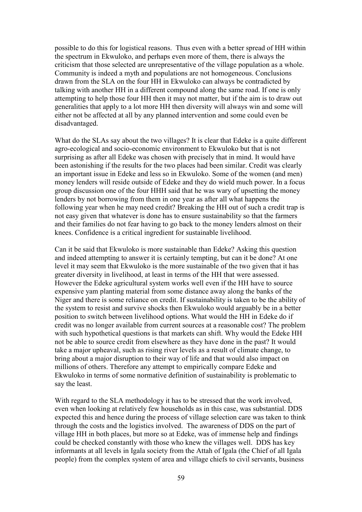possible to do this for logistical reasons. Thus even with a better spread of HH within the spectrum in Ekwuloko, and perhaps even more of them, there is always the criticism that those selected are unrepresentative of the village population as a whole. Community is indeed a myth and populations are not homogeneous. Conclusions drawn from the SLA on the four HH in Ekwuloko can always be contradicted by talking with another HH in a different compound along the same road. If one is only attempting to help those four HH then it may not matter, but if the aim is to draw out generalities that apply to a lot more HH then diversity will always win and some will either not be affected at all by any planned intervention and some could even be disadvantaged.

What do the SLAs say about the two villages? It is clear that Edeke is a quite different agro-ecological and socio-economic environment to Ekwuloko but that is not surprising as after all Edeke was chosen with precisely that in mind. It would have been astonishing if the results for the two places had been similar. Credit was clearly an important issue in Edeke and less so in Ekwuloko. Some of the women (and men) money lenders will reside outside of Edeke and they do wield much power. In a focus group discussion one of the four HHH said that he was wary of upsetting the money lenders by not borrowing from them in one year as after all what happens the following year when he may need credit? Breaking the HH out of such a credit trap is not easy given that whatever is done has to ensure sustainability so that the farmers and their families do not fear having to go back to the money lenders almost on their knees. Confidence is a critical ingredient for sustainable livelihood.

Can it be said that Ekwuloko is more sustainable than Edeke? Asking this question and indeed attempting to answer it is certainly tempting, but can it be done? At one level it may seem that Ekwuloko is the more sustainable of the two given that it has greater diversity in livelihood, at least in terms of the HH that were assessed. However the Edeke agricultural system works well even if the HH have to source expensive yam planting material from some distance away along the banks of the Niger and there is some reliance on credit. If sustainability is taken to be the ability of the system to resist and survive shocks then Ekwuloko would arguably be in a better position to switch between livelihood options. What would the HH in Edeke do if credit was no longer available from current sources at a reasonable cost? The problem with such hypothetical questions is that markets can shift. Why would the Edeke HH not be able to source credit from elsewhere as they have done in the past? It would take a major upheaval, such as rising river levels as a result of climate change, to bring about a major disruption to their way of life and that would also impact on millions of others. Therefore any attempt to empirically compare Edeke and Ekwuloko in terms of some normative definition of sustainability is problematic to say the least.

With regard to the SLA methodology it has to be stressed that the work involved, even when looking at relatively few households as in this case, was substantial. DDS expected this and hence during the process of village selection care was taken to think through the costs and the logistics involved. The awareness of DDS on the part of village HH in both places, but more so at Edeke, was of immense help and findings could be checked constantly with those who knew the villages well. DDS has key informants at all levels in Igala society from the Attah of Igala (the Chief of all Igala people) from the complex system of area and village chiefs to civil servants, business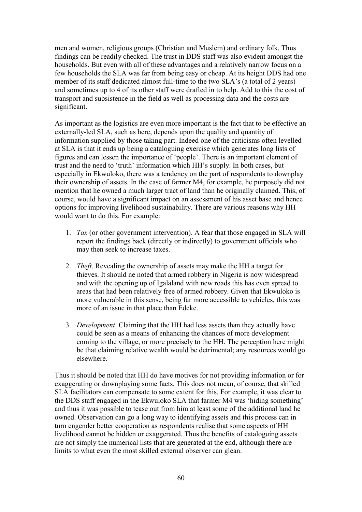men and women, religious groups (Christian and Muslem) and ordinary folk. Thus findings can be readily checked. The trust in DDS staff was also evident amongst the households. But even with all of these advantages and a relatively narrow focus on a few households the SLA was far from being easy or cheap. At its height DDS had one member of its staff dedicated almost full-time to the two SLA"s (a total of 2 years) and sometimes up to 4 of its other staff were drafted in to help. Add to this the cost of transport and subsistence in the field as well as processing data and the costs are significant.

As important as the logistics are even more important is the fact that to be effective an externally-led SLA, such as here, depends upon the quality and quantity of information supplied by those taking part. Indeed one of the criticisms often levelled at SLA is that it ends up being a cataloguing exercise which generates long lists of figures and can lessen the importance of "people". There is an important element of trust and the need to "truth" information which HH"s supply. In both cases, but especially in Ekwuloko, there was a tendency on the part of respondents to downplay their ownership of assets. In the case of farmer M4, for example, he purposely did not mention that he owned a much larger tract of land than he originally claimed. This, of course, would have a significant impact on an assessment of his asset base and hence options for improving livelihood sustainability. There are various reasons why HH would want to do this. For example:

- 1. *Tax* (or other government intervention). A fear that those engaged in SLA will report the findings back (directly or indirectly) to government officials who may then seek to increase taxes.
- 2. *Theft*. Revealing the ownership of assets may make the HH a target for thieves. It should ne noted that armed robbery in Nigeria is now widespread and with the opening up of Igalaland with new roads this has even spread to areas that had been relatively free of armed robbery. Given that Ekwuloko is more vulnerable in this sense, being far more accessible to vehicles, this was more of an issue in that place than Edeke.
- 3. *Development*. Claiming that the HH had less assets than they actually have could be seen as a means of enhancing the chances of more development coming to the village, or more precisely to the HH. The perception here might be that claiming relative wealth would be detrimental; any resources would go elsewhere.

Thus it should be noted that HH do have motives for not providing information or for exaggerating or downplaying some facts. This does not mean, of course, that skilled SLA facilitators can compensate to some extent for this. For example, it was clear to the DDS staff engaged in the Ekwuloko SLA that farmer M4 was "hiding something" and thus it was possible to tease out from him at least some of the additional land he owned. Observation can go a long way to identifying assets and this process can in turn engender better cooperation as respondents realise that some aspects of HH livelihood cannot be hidden or exaggerated. Thus the benefits of cataloguing assets are not simply the numerical lists that are generated at the end, although there are limits to what even the most skilled external observer can glean.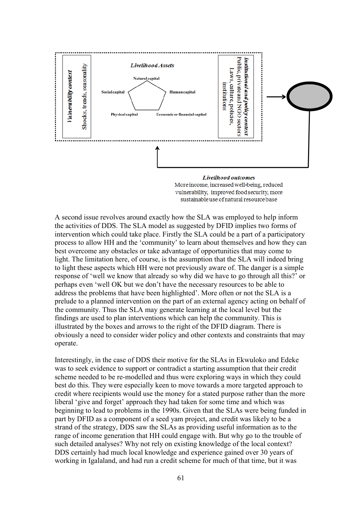

More income, increased well-being, reduced vulnerability, improved food security, more sustainable use of natural resource base

A second issue revolves around exactly how the SLA was employed to help inform the activities of DDS. The SLA model as suggested by DFID implies two forms of intervention which could take place. Firstly the SLA could be a part of a participatory process to allow HH and the "community" to learn about themselves and how they can best overcome any obstacles or take advantage of opportunities that may come to light. The limitation here, of course, is the assumption that the SLA will indeed bring to light these aspects which HH were not previously aware of. The danger is a simple response of "well we know that already so why did we have to go through all this?" or perhaps even "well OK but we don"t have the necessary resources to be able to address the problems that have been highlighted". More often or not the SLA is a prelude to a planned intervention on the part of an external agency acting on behalf of the community. Thus the SLA may generate learning at the local level but the findings are used to plan interventions which can help the community. This is illustrated by the boxes and arrows to the right of the DFID diagram. There is obviously a need to consider wider policy and other contexts and constraints that may operate.

Interestingly, in the case of DDS their motive for the SLAs in Ekwuloko and Edeke was to seek evidence to support or contradict a starting assumption that their credit scheme needed to be re-modelled and thus were exploring ways in which they could best do this. They were especially keen to move towards a more targeted approach to credit where recipients would use the money for a stated purpose rather than the more liberal 'give and forget' approach they had taken for some time and which was beginning to lead to problems in the 1990s. Given that the SLAs were being funded in part by DFID as a component of a seed yam project, and credit was likely to be a strand of the strategy, DDS saw the SLAs as providing useful information as to the range of income generation that HH could engage with. But why go to the trouble of such detailed analyses? Why not rely on existing knowledge of the local context? DDS certainly had much local knowledge and experience gained over 30 years of working in Igalaland, and had run a credit scheme for much of that time, but it was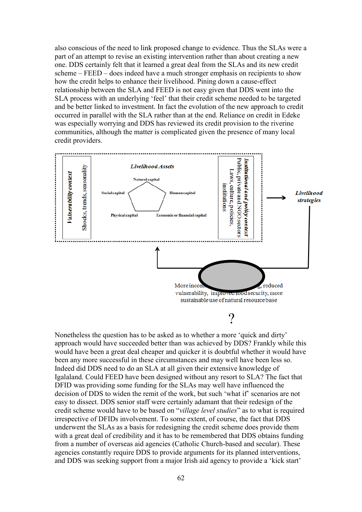also conscious of the need to link proposed change to evidence. Thus the SLAs were a part of an attempt to revise an existing intervention rather than about creating a new one. DDS certainly felt that it learned a great deal from the SLAs and its new credit scheme – FEED – does indeed have a much stronger emphasis on recipients to show how the credit helps to enhance their livelihood. Pining down a cause-effect relationship between the SLA and FEED is not easy given that DDS went into the SLA process with an underlying "feel" that their credit scheme needed to be targeted and be better linked to investment. In fact the evolution of the new approach to credit occurred in parallel with the SLA rather than at the end. Reliance on credit in Edeke was especially worrying and DDS has reviewed its credit provision to the riverine communities, although the matter is complicated given the presence of many local credit providers.



Nonetheless the question has to be asked as to whether a more "quick and dirty" approach would have succeeded better than was achieved by DDS? Frankly while this would have been a great deal cheaper and quicker it is doubtful whether it would have been any more successful in these circumstances and may well have been less so. Indeed did DDS need to do an SLA at all given their extensive knowledge of Igalaland. Could FEED have been designed without any resort to SLA? The fact that DFID was providing some funding for the SLAs may well have influenced the decision of DDS to widen the remit of the work, but such "what if" scenarios are not easy to dissect. DDS senior staff were certainly adamant that their redesign of the credit scheme would have to be based on "*village level studies*" as to what is required irrespective of DFIDs involvement. To some extent, of course, the fact that DDS underwent the SLAs as a basis for redesigning the credit scheme does provide them with a great deal of credibility and it has to be remembered that DDS obtains funding from a number of overseas aid agencies (Catholic Church-based and secular). These agencies constantly require DDS to provide arguments for its planned interventions, and DDS was seeking support from a major Irish aid agency to provide a "kick start"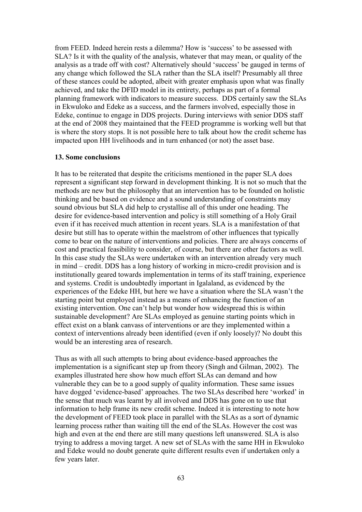from FEED. Indeed herein rests a dilemma? How is "success" to be assessed with SLA? Is it with the quality of the analysis, whatever that may mean, or quality of the analysis as a trade off with cost? Alternatively should "success" be gauged in terms of any change which followed the SLA rather than the SLA itself? Presumably all three of these stances could be adopted, albeit with greater emphasis upon what was finally achieved, and take the DFID model in its entirety, perhaps as part of a formal planning framework with indicators to measure success. DDS certainly saw the SLAs in Ekwuloko and Edeke as a success, and the farmers involved, especially those in Edeke, continue to engage in DDS projects. During interviews with senior DDS staff at the end of 2008 they maintained that the FEED programme is working well but that is where the story stops. It is not possible here to talk about how the credit scheme has impacted upon HH livelihoods and in turn enhanced (or not) the asset base.

#### **13. Some conclusions**

It has to be reiterated that despite the criticisms mentioned in the paper SLA does represent a significant step forward in development thinking. It is not so much that the methods are new but the philosophy that an intervention has to be founded on holistic thinking and be based on evidence and a sound understanding of constraints may sound obvious but SLA did help to crystallise all of this under one heading. The desire for evidence-based intervention and policy is still something of a Holy Grail even if it has received much attention in recent years. SLA is a manifestation of that desire but still has to operate within the maelstrom of other influences that typically come to bear on the nature of interventions and policies. There are always concerns of cost and practical feasibility to consider, of course, but there are other factors as well. In this case study the SLAs were undertaken with an intervention already very much in mind – credit. DDS has a long history of working in micro-credit provision and is institutionally geared towards implementation in terms of its staff training, experience and systems. Credit is undoubtedly important in Igalaland, as evidenced by the experiences of the Edeke HH, but here we have a situation where the SLA wasn"t the starting point but employed instead as a means of enhancing the function of an existing intervention. One can"t help but wonder how widespread this is within sustainable development? Are SLAs employed as genuine starting points which in effect exist on a blank canvass of interventions or are they implemented within a context of interventions already been identified (even if only loosely)? No doubt this would be an interesting area of research.

Thus as with all such attempts to bring about evidence-based approaches the implementation is a significant step up from theory (Singh and Gilman, 2002). The examples illustrated here show how much effort SLAs can demand and how vulnerable they can be to a good supply of quality information. These same issues have dogged 'evidence-based' approaches. The two SLAs described here 'worked' in the sense that much was learnt by all involved and DDS has gone on to use that information to help frame its new credit scheme. Indeed it is interesting to note how the development of FEED took place in parallel with the SLAs as a sort of dynamic learning process rather than waiting till the end of the SLAs. However the cost was high and even at the end there are still many questions left unanswered. SLA is also trying to address a moving target. A new set of SLAs with the same HH in Ekwuloko and Edeke would no doubt generate quite different results even if undertaken only a few years later.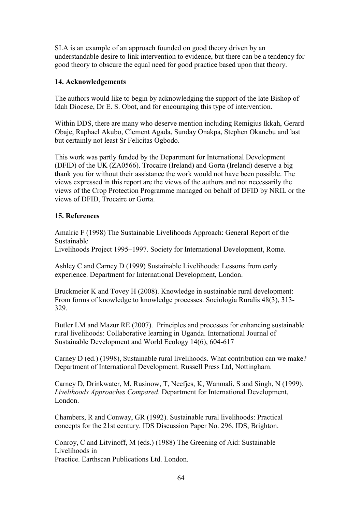SLA is an example of an approach founded on good theory driven by an understandable desire to link intervention to evidence, but there can be a tendency for good theory to obscure the equal need for good practice based upon that theory.

## **14. Acknowledgements**

The authors would like to begin by acknowledging the support of the late Bishop of Idah Diocese, Dr E. S. Obot, and for encouraging this type of intervention.

Within DDS, there are many who deserve mention including Remigius Ikkah, Gerard Obaje, Raphael Akubo, Clement Agada, Sunday Onakpa, Stephen Okanebu and last but certainly not least Sr Felicitas Ogbodo.

This work was partly funded by the Department for International Development (DFID) of the UK (ZA0566). Trocaire (Ireland) and Gorta (Ireland) deserve a big thank you for without their assistance the work would not have been possible. The views expressed in this report are the views of the authors and not necessarily the views of the Crop Protection Programme managed on behalf of DFID by NRIL or the views of DFID, Trocaire or Gorta.

# **15. References**

Amalric F (1998) The Sustainable Livelihoods Approach: General Report of the Sustainable

Livelihoods Project 1995–1997. Society for International Development, Rome.

Ashley C and Carney D (1999) Sustainable Livelihoods: Lessons from early experience. Department for International Development, London.

Bruckmeier K and Tovey H (2008). Knowledge in sustainable rural development: From forms of knowledge to knowledge processes. Sociologia Ruralis 48(3), 313- 329.

Butler LM and Mazur RE (2007). Principles and processes for enhancing sustainable rural livelihoods: Collaborative learning in Uganda. International Journal of Sustainable Development and World Ecology 14(6), 604-617

Carney D (ed.) (1998), Sustainable rural livelihoods. What contribution can we make? Department of International Development. Russell Press Ltd, Nottingham.

Carney D, Drinkwater, M, Rusinow, T, Neefjes, K, Wanmali, S and Singh, N (1999). *Livelihoods Approaches Compared*. Department for International Development, London.

Chambers, R and Conway, GR (1992). Sustainable rural livelihoods: Practical concepts for the 21st century. IDS Discussion Paper No. 296. IDS, Brighton.

Conroy, C and Litvinoff, M (eds.) (1988) The Greening of Aid: Sustainable Livelihoods in Practice. Earthscan Publications Ltd. London.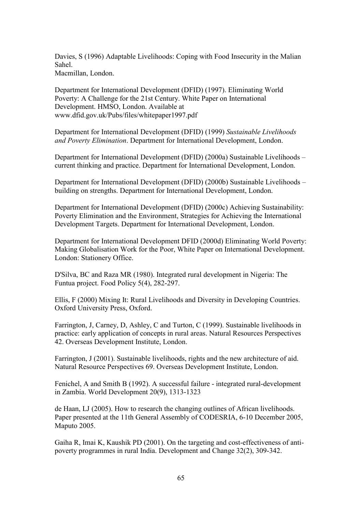Davies, S (1996) Adaptable Livelihoods: Coping with Food Insecurity in the Malian Sahel. Macmillan, London.

Department for International Development (DFID) (1997). Eliminating World Poverty: A Challenge for the 21st Century. White Paper on International Development. HMSO, London. Available at www.dfid.gov.uk/Pubs/files/whitepaper1997.pdf

Department for International Development (DFID) (1999) *Sustainable Livelihoods and Poverty Elimination*. Department for International Development, London.

Department for International Development (DFID) (2000a) Sustainable Livelihoods – current thinking and practice. Department for International Development, London.

Department for International Development (DFID) (2000b) Sustainable Livelihoods – building on strengths. Department for International Development, London.

Department for International Development (DFID) (2000c) Achieving Sustainability: Poverty Elimination and the Environment, Strategies for Achieving the International Development Targets. Department for International Development, London.

Department for International Development DFID (2000d) Eliminating World Poverty: Making Globalisation Work for the Poor, White Paper on International Development. London: Stationery Office.

D'Silva, BC and Raza MR (1980). Integrated rural development in Nigeria: The Funtua project. Food Policy 5(4), 282-297.

Ellis, F (2000) Mixing It: Rural Livelihoods and Diversity in Developing Countries. Oxford University Press, Oxford.

Farrington, J, Carney, D, Ashley, C and Turton, C (1999). Sustainable livelihoods in practice: early application of concepts in rural areas. Natural Resources Perspectives 42. Overseas Development Institute, London.

Farrington, J (2001). Sustainable livelihoods, rights and the new architecture of aid. Natural Resource Perspectives 69. Overseas Development Institute, London.

Fenichel, A and Smith B (1992). A successful failure - integrated rural-development in Zambia. World Development 20(9), 1313-1323

de Haan, LJ (2005). How to research the changing outlines of African livelihoods. Paper presented at the 11th General Assembly of CODESRIA, 6-10 December 2005, Maputo 2005.

Gaiha R, Imai K, Kaushik PD (2001). On the targeting and cost-effectiveness of antipoverty programmes in rural India. Development and Change 32(2), 309-342.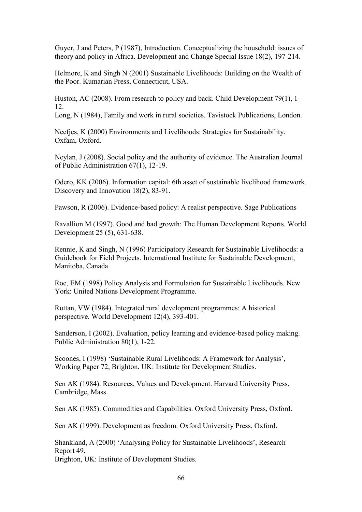Guyer, J and Peters, P (1987), Introduction. Conceptualizing the household: issues of theory and policy in Africa. Development and Change Special Issue 18(2), 197-214.

Helmore, K and Singh N (2001) Sustainable Livelihoods: Building on the Wealth of the Poor. Kumarian Press, Connecticut, USA.

Huston, AC (2008). From research to policy and back. Child Development 79(1), 1- 12.

Long, N (1984), Family and work in rural societies. Tavistock Publications, London.

Neefjes, K (2000) Environments and Livelihoods: Strategies for Sustainability. Oxfam, Oxford.

Neylan, J (2008). Social policy and the authority of evidence. The Australian Journal of Public Administration 67(1), 12-19.

Odero, KK (2006). Information capital: 6th asset of sustainable livelihood framework. Discovery and Innovation 18(2), 83-91.

Pawson, R (2006). Evidence-based policy: A realist perspective. Sage Publications

Ravallion M (1997). Good and bad growth: The Human Development Reports. World Development 25 (5), 631-638.

Rennie, K and Singh, N (1996) Participatory Research for Sustainable Livelihoods: a Guidebook for Field Projects. International Institute for Sustainable Development, Manitoba, Canada

Roe, EM (1998) Policy Analysis and Formulation for Sustainable Livelihoods. New York: United Nations Development Programme.

Ruttan, VW (1984). Integrated rural development programmes: A historical perspective. World Development 12(4), 393-401.

Sanderson, I (2002). Evaluation, policy learning and evidence-based policy making. Public Administration 80(1), 1-22.

Scoones, I (1998) 'Sustainable Rural Livelihoods: A Framework for Analysis', Working Paper 72, Brighton, UK: Institute for Development Studies.

Sen AK (1984). Resources, Values and Development. Harvard University Press, Cambridge, Mass.

Sen AK (1985). Commodities and Capabilities. Oxford University Press, Oxford.

Sen AK (1999). Development as freedom. Oxford University Press, Oxford.

Shankland, A (2000) "Analysing Policy for Sustainable Livelihoods", Research Report 49,

Brighton, UK: Institute of Development Studies.